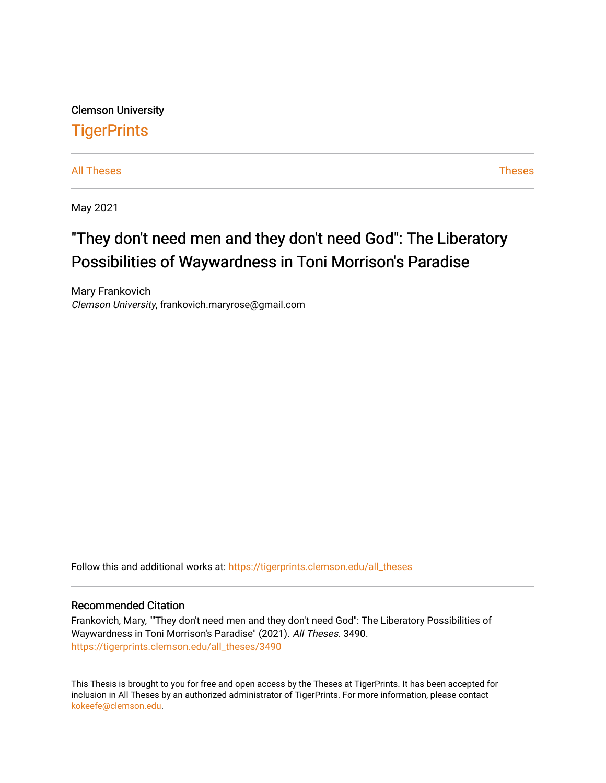Clemson University **TigerPrints** 

[All Theses](https://tigerprints.clemson.edu/all_theses) **Theses** [Theses](https://tigerprints.clemson.edu/theses) **Theses** 

May 2021

# "They don't need men and they don't need God": The Liberatory Possibilities of Waywardness in Toni Morrison's Paradise

Mary Frankovich Clemson University, frankovich.maryrose@gmail.com

Follow this and additional works at: [https://tigerprints.clemson.edu/all\\_theses](https://tigerprints.clemson.edu/all_theses?utm_source=tigerprints.clemson.edu%2Fall_theses%2F3490&utm_medium=PDF&utm_campaign=PDFCoverPages) 

### Recommended Citation

Frankovich, Mary, ""They don't need men and they don't need God": The Liberatory Possibilities of Waywardness in Toni Morrison's Paradise" (2021). All Theses. 3490. [https://tigerprints.clemson.edu/all\\_theses/3490](https://tigerprints.clemson.edu/all_theses/3490?utm_source=tigerprints.clemson.edu%2Fall_theses%2F3490&utm_medium=PDF&utm_campaign=PDFCoverPages) 

This Thesis is brought to you for free and open access by the Theses at TigerPrints. It has been accepted for inclusion in All Theses by an authorized administrator of TigerPrints. For more information, please contact [kokeefe@clemson.edu](mailto:kokeefe@clemson.edu).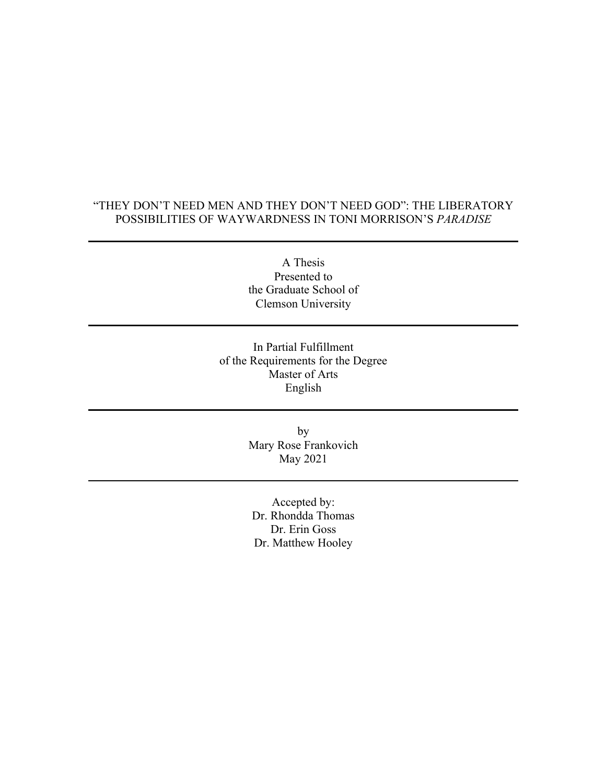# "THEY DON'T NEED MEN AND THEY DON'T NEED GOD": THE LIBERATORY POSSIBILITIES OF WAYWARDNESS IN TONI MORRISON'S *PARADISE*

A Thesis Presented to the Graduate School of Clemson University

In Partial Fulfillment of the Requirements for the Degree Master of Arts English

> by Mary Rose Frankovich May 2021

Accepted by: Dr. Rhondda Thomas Dr. Erin Goss Dr. Matthew Hooley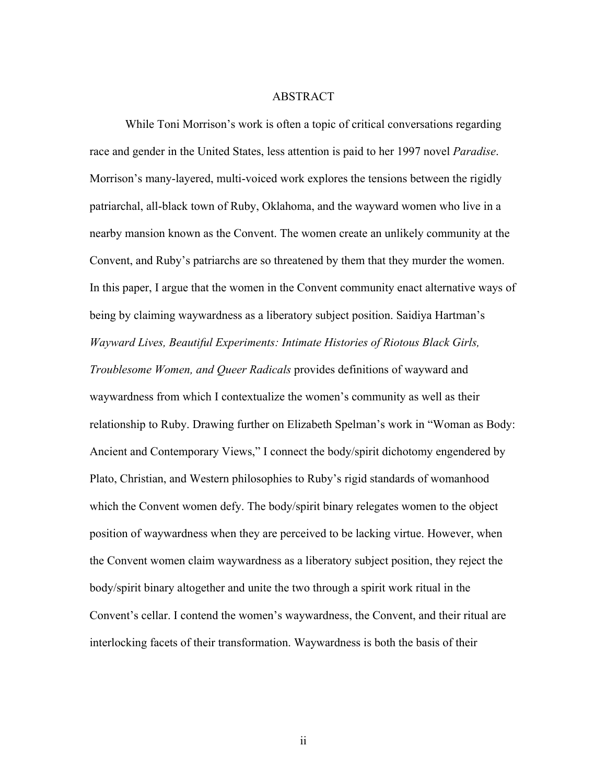#### ABSTRACT

While Toni Morrison's work is often a topic of critical conversations regarding race and gender in the United States, less attention is paid to her 1997 novel *Paradise*. Morrison's many-layered, multi-voiced work explores the tensions between the rigidly patriarchal, all-black town of Ruby, Oklahoma, and the wayward women who live in a nearby mansion known as the Convent. The women create an unlikely community at the Convent, and Ruby's patriarchs are so threatened by them that they murder the women. In this paper, I argue that the women in the Convent community enact alternative ways of being by claiming waywardness as a liberatory subject position. Saidiya Hartman's *Wayward Lives, Beautiful Experiments: Intimate Histories of Riotous Black Girls, Troublesome Women, and Queer Radicals* provides definitions of wayward and waywardness from which I contextualize the women's community as well as their relationship to Ruby. Drawing further on Elizabeth Spelman's work in "Woman as Body: Ancient and Contemporary Views," I connect the body/spirit dichotomy engendered by Plato, Christian, and Western philosophies to Ruby's rigid standards of womanhood which the Convent women defy. The body/spirit binary relegates women to the object position of waywardness when they are perceived to be lacking virtue. However, when the Convent women claim waywardness as a liberatory subject position, they reject the body/spirit binary altogether and unite the two through a spirit work ritual in the Convent's cellar. I contend the women's waywardness, the Convent, and their ritual are interlocking facets of their transformation. Waywardness is both the basis of their

ii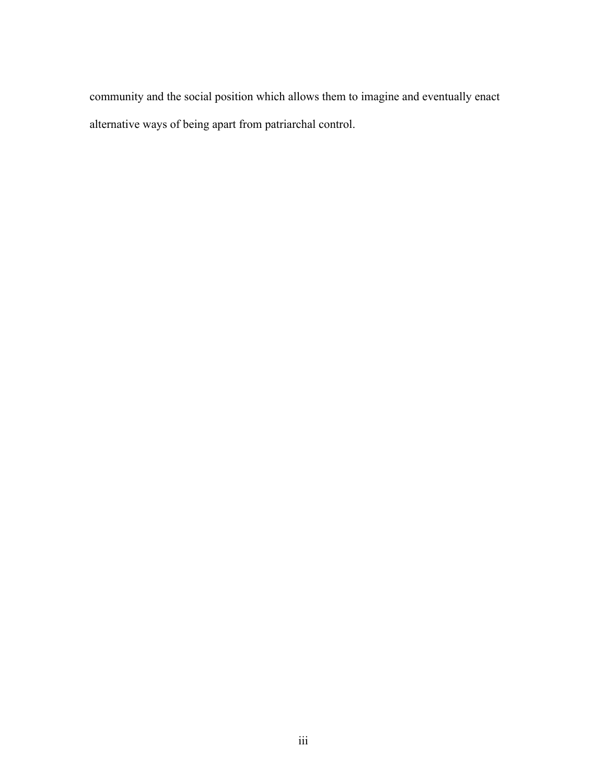community and the social position which allows them to imagine and eventually enact alternative ways of being apart from patriarchal control.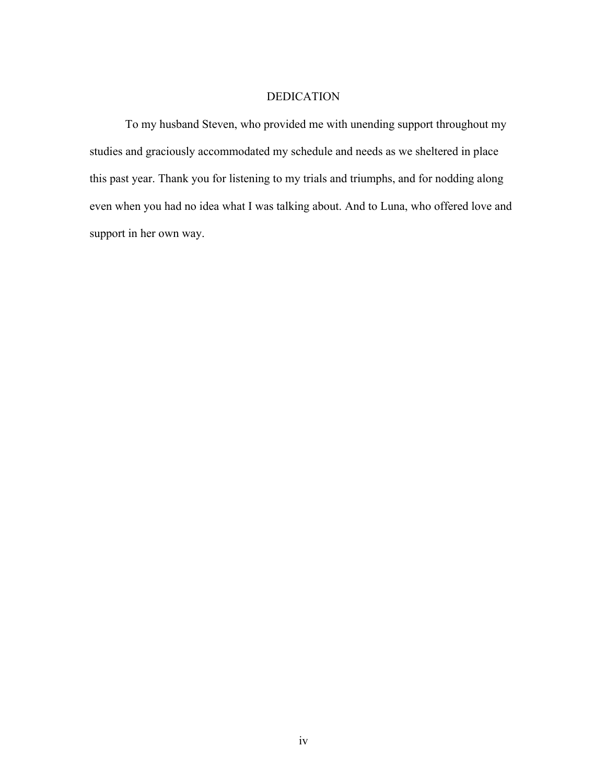### DEDICATION

To my husband Steven, who provided me with unending support throughout my studies and graciously accommodated my schedule and needs as we sheltered in place this past year. Thank you for listening to my trials and triumphs, and for nodding along even when you had no idea what I was talking about. And to Luna, who offered love and support in her own way.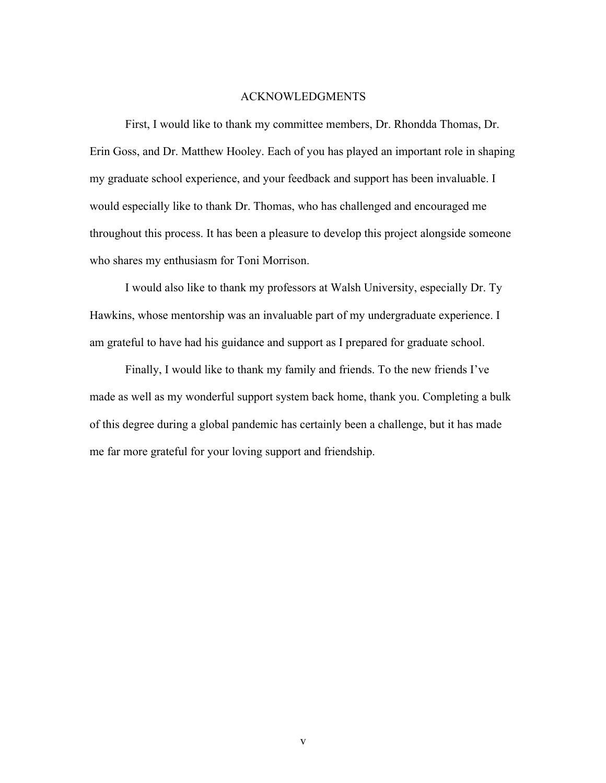#### ACKNOWLEDGMENTS

First, I would like to thank my committee members, Dr. Rhondda Thomas, Dr. Erin Goss, and Dr. Matthew Hooley. Each of you has played an important role in shaping my graduate school experience, and your feedback and support has been invaluable. I would especially like to thank Dr. Thomas, who has challenged and encouraged me throughout this process. It has been a pleasure to develop this project alongside someone who shares my enthusiasm for Toni Morrison.

I would also like to thank my professors at Walsh University, especially Dr. Ty Hawkins, whose mentorship was an invaluable part of my undergraduate experience. I am grateful to have had his guidance and support as I prepared for graduate school.

Finally, I would like to thank my family and friends. To the new friends I've made as well as my wonderful support system back home, thank you. Completing a bulk of this degree during a global pandemic has certainly been a challenge, but it has made me far more grateful for your loving support and friendship.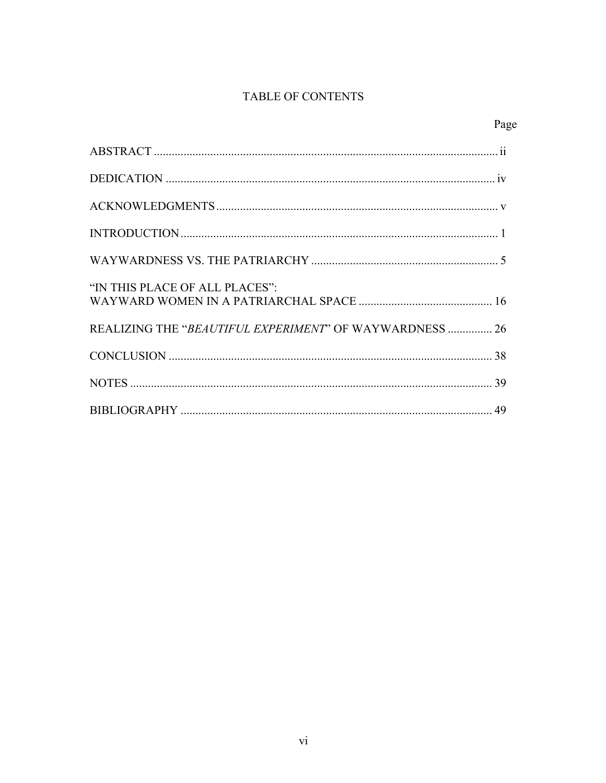# TABLE OF CONTENTS

| "IN THIS PLACE OF ALL PLACES":                          |  |
|---------------------------------------------------------|--|
| REALIZING THE "BEAUTIFUL EXPERIMENT" OF WAYWARDNESS  26 |  |
|                                                         |  |
|                                                         |  |
|                                                         |  |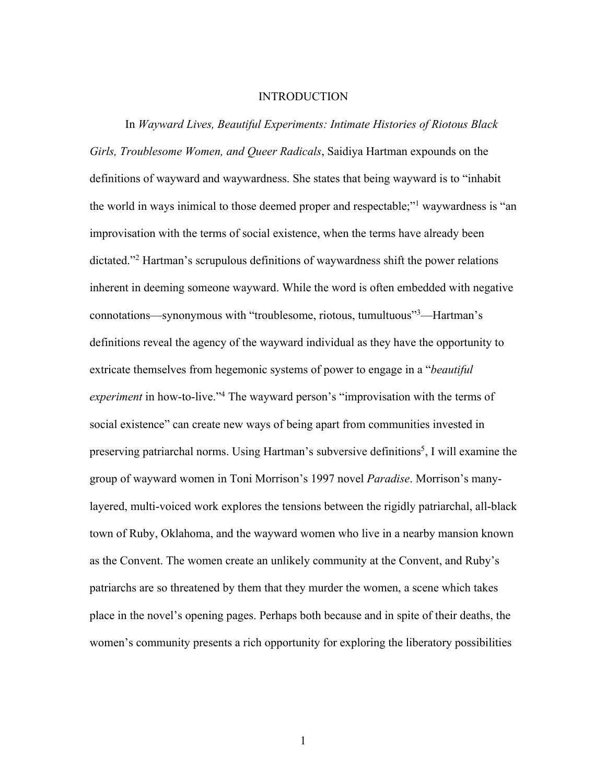#### INTRODUCTION

In *Wayward Lives, Beautiful Experiments: Intimate Histories of Riotous Black Girls, Troublesome Women, and Queer Radicals*, Saidiya Hartman expounds on the definitions of wayward and waywardness. She states that being wayward is to "inhabit the world in ways inimical to those deemed proper and respectable;"1 waywardness is "an improvisation with the terms of social existence, when the terms have already been dictated."2 Hartman's scrupulous definitions of waywardness shift the power relations inherent in deeming someone wayward. While the word is often embedded with negative connotations—synonymous with "troublesome, riotous, tumultuous"3 —Hartman's definitions reveal the agency of the wayward individual as they have the opportunity to extricate themselves from hegemonic systems of power to engage in a "*beautiful experiment* in how-to-live."4 The wayward person's "improvisation with the terms of social existence" can create new ways of being apart from communities invested in preserving patriarchal norms. Using Hartman's subversive definitions<sup>5</sup>, I will examine the group of wayward women in Toni Morrison's 1997 novel *Paradise*. Morrison's manylayered, multi-voiced work explores the tensions between the rigidly patriarchal, all-black town of Ruby, Oklahoma, and the wayward women who live in a nearby mansion known as the Convent. The women create an unlikely community at the Convent, and Ruby's patriarchs are so threatened by them that they murder the women, a scene which takes place in the novel's opening pages. Perhaps both because and in spite of their deaths, the women's community presents a rich opportunity for exploring the liberatory possibilities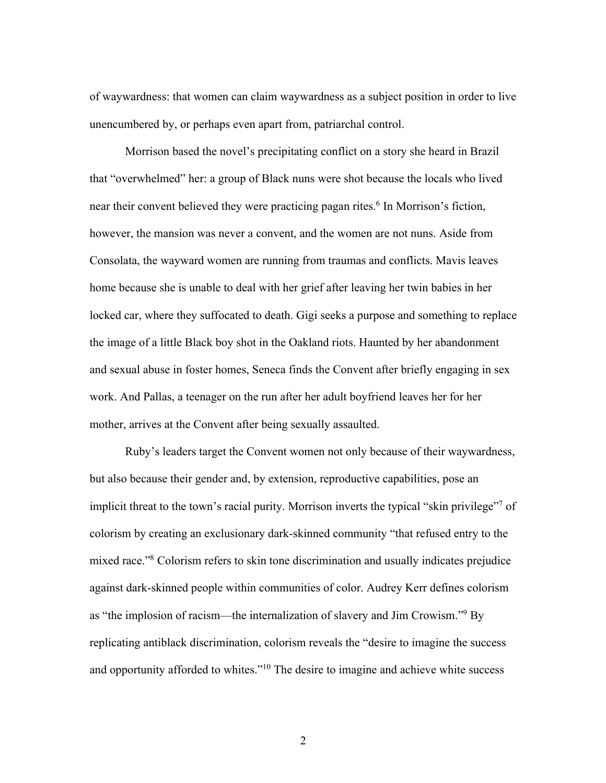of waywardness: that women can claim waywardness as a subject position in order to live unencumbered by, or perhaps even apart from, patriarchal control.

Morrison based the novel's precipitating conflict on a story she heard in Brazil that "overwhelmed" her: a group of Black nuns were shot because the locals who lived near their convent believed they were practicing pagan rites.<sup>6</sup> In Morrison's fiction, however, the mansion was never a convent, and the women are not nuns. Aside from Consolata, the wayward women are running from traumas and conflicts. Mavis leaves home because she is unable to deal with her grief after leaving her twin babies in her locked car, where they suffocated to death. Gigi seeks a purpose and something to replace the image of a little Black boy shot in the Oakland riots. Haunted by her abandonment and sexual abuse in foster homes, Seneca finds the Convent after briefly engaging in sex work. And Pallas, a teenager on the run after her adult boyfriend leaves her for her mother, arrives at the Convent after being sexually assaulted.

Ruby's leaders target the Convent women not only because of their waywardness, but also because their gender and, by extension, reproductive capabilities, pose an implicit threat to the town's racial purity. Morrison inverts the typical "skin privilege"<sup>7</sup> of colorism by creating an exclusionary dark-skinned community "that refused entry to the mixed race."8 Colorism refers to skin tone discrimination and usually indicates prejudice against dark-skinned people within communities of color. Audrey Kerr defines colorism as "the implosion of racism—the internalization of slavery and Jim Crowism."9 By replicating antiblack discrimination, colorism reveals the "desire to imagine the success and opportunity afforded to whites."<sup>10</sup> The desire to imagine and achieve white success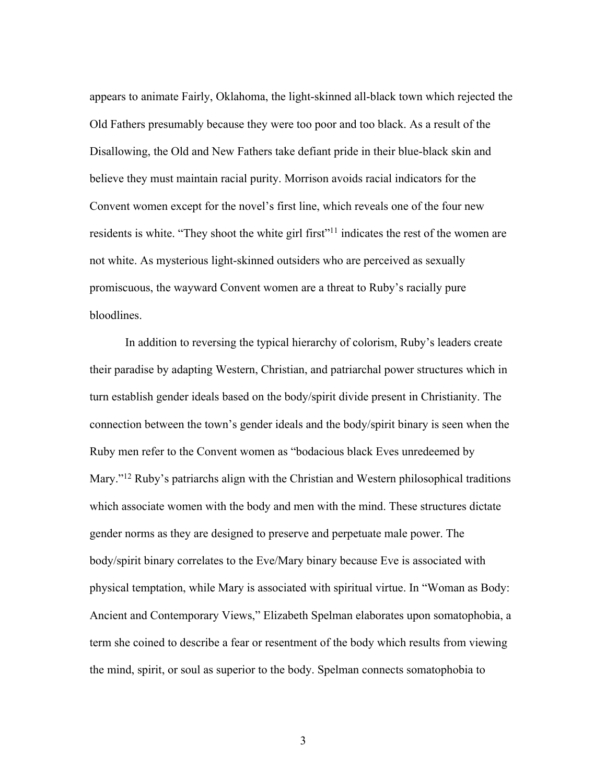appears to animate Fairly, Oklahoma, the light-skinned all-black town which rejected the Old Fathers presumably because they were too poor and too black. As a result of the Disallowing, the Old and New Fathers take defiant pride in their blue-black skin and believe they must maintain racial purity. Morrison avoids racial indicators for the Convent women except for the novel's first line, which reveals one of the four new residents is white. "They shoot the white girl first"<sup>11</sup> indicates the rest of the women are not white. As mysterious light-skinned outsiders who are perceived as sexually promiscuous, the wayward Convent women are a threat to Ruby's racially pure bloodlines.

In addition to reversing the typical hierarchy of colorism, Ruby's leaders create their paradise by adapting Western, Christian, and patriarchal power structures which in turn establish gender ideals based on the body/spirit divide present in Christianity. The connection between the town's gender ideals and the body/spirit binary is seen when the Ruby men refer to the Convent women as "bodacious black Eves unredeemed by Mary."<sup>12</sup> Ruby's patriarchs align with the Christian and Western philosophical traditions which associate women with the body and men with the mind. These structures dictate gender norms as they are designed to preserve and perpetuate male power. The body/spirit binary correlates to the Eve/Mary binary because Eve is associated with physical temptation, while Mary is associated with spiritual virtue. In "Woman as Body: Ancient and Contemporary Views," Elizabeth Spelman elaborates upon somatophobia, a term she coined to describe a fear or resentment of the body which results from viewing the mind, spirit, or soul as superior to the body. Spelman connects somatophobia to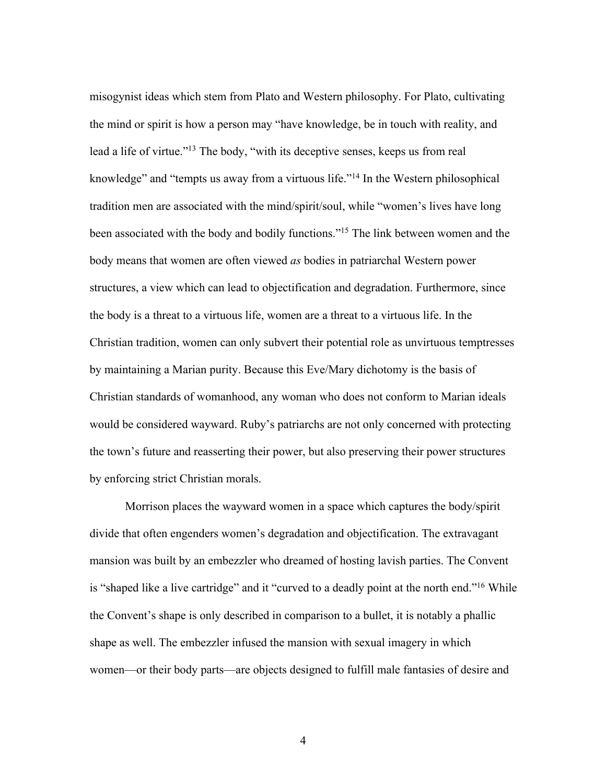misogynist ideas which stem from Plato and Western philosophy. For Plato, cultivating the mind or spirit is how a person may "have knowledge, be in touch with reality, and lead a life of virtue."13 The body, "with its deceptive senses, keeps us from real knowledge" and "tempts us away from a virtuous life."14 In the Western philosophical tradition men are associated with the mind/spirit/soul, while "women's lives have long been associated with the body and bodily functions."<sup>15</sup> The link between women and the body means that women are often viewed *as* bodies in patriarchal Western power structures, a view which can lead to objectification and degradation. Furthermore, since the body is a threat to a virtuous life, women are a threat to a virtuous life. In the Christian tradition, women can only subvert their potential role as unvirtuous temptresses by maintaining a Marian purity. Because this Eve/Mary dichotomy is the basis of Christian standards of womanhood, any woman who does not conform to Marian ideals would be considered wayward. Ruby's patriarchs are not only concerned with protecting the town's future and reasserting their power, but also preserving their power structures by enforcing strict Christian morals.

Morrison places the wayward women in a space which captures the body/spirit divide that often engenders women's degradation and objectification. The extravagant mansion was built by an embezzler who dreamed of hosting lavish parties. The Convent is "shaped like a live cartridge" and it "curved to a deadly point at the north end."<sup>16</sup> While the Convent's shape is only described in comparison to a bullet, it is notably a phallic shape as well. The embezzler infused the mansion with sexual imagery in which women—or their body parts—are objects designed to fulfill male fantasies of desire and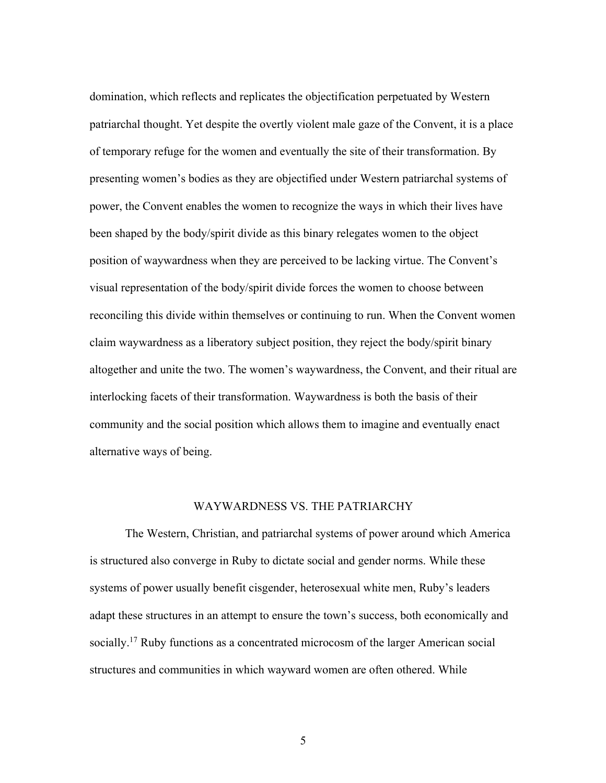domination, which reflects and replicates the objectification perpetuated by Western patriarchal thought. Yet despite the overtly violent male gaze of the Convent, it is a place of temporary refuge for the women and eventually the site of their transformation. By presenting women's bodies as they are objectified under Western patriarchal systems of power, the Convent enables the women to recognize the ways in which their lives have been shaped by the body/spirit divide as this binary relegates women to the object position of waywardness when they are perceived to be lacking virtue. The Convent's visual representation of the body/spirit divide forces the women to choose between reconciling this divide within themselves or continuing to run. When the Convent women claim waywardness as a liberatory subject position, they reject the body/spirit binary altogether and unite the two. The women's waywardness, the Convent, and their ritual are interlocking facets of their transformation. Waywardness is both the basis of their community and the social position which allows them to imagine and eventually enact alternative ways of being.

## WAYWARDNESS VS. THE PATRIARCHY

The Western, Christian, and patriarchal systems of power around which America is structured also converge in Ruby to dictate social and gender norms. While these systems of power usually benefit cisgender, heterosexual white men, Ruby's leaders adapt these structures in an attempt to ensure the town's success, both economically and socially.<sup>17</sup> Ruby functions as a concentrated microcosm of the larger American social structures and communities in which wayward women are often othered. While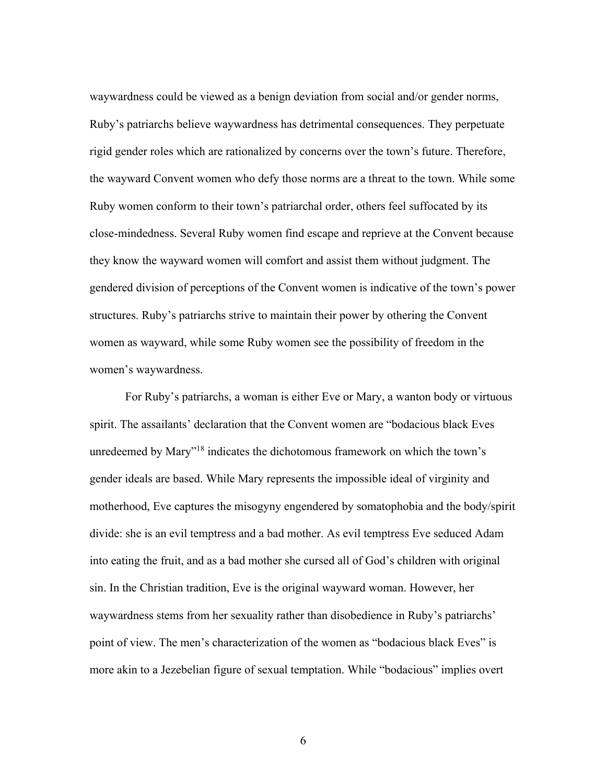waywardness could be viewed as a benign deviation from social and/or gender norms, Ruby's patriarchs believe waywardness has detrimental consequences. They perpetuate rigid gender roles which are rationalized by concerns over the town's future. Therefore, the wayward Convent women who defy those norms are a threat to the town. While some Ruby women conform to their town's patriarchal order, others feel suffocated by its close-mindedness. Several Ruby women find escape and reprieve at the Convent because they know the wayward women will comfort and assist them without judgment. The gendered division of perceptions of the Convent women is indicative of the town's power structures. Ruby's patriarchs strive to maintain their power by othering the Convent women as wayward, while some Ruby women see the possibility of freedom in the women's waywardness.

For Ruby's patriarchs, a woman is either Eve or Mary, a wanton body or virtuous spirit. The assailants' declaration that the Convent women are "bodacious black Eves unredeemed by Mary"18 indicates the dichotomous framework on which the town's gender ideals are based. While Mary represents the impossible ideal of virginity and motherhood, Eve captures the misogyny engendered by somatophobia and the body/spirit divide: she is an evil temptress and a bad mother. As evil temptress Eve seduced Adam into eating the fruit, and as a bad mother she cursed all of God's children with original sin. In the Christian tradition, Eve is the original wayward woman. However, her waywardness stems from her sexuality rather than disobedience in Ruby's patriarchs' point of view. The men's characterization of the women as "bodacious black Eves" is more akin to a Jezebelian figure of sexual temptation. While "bodacious" implies overt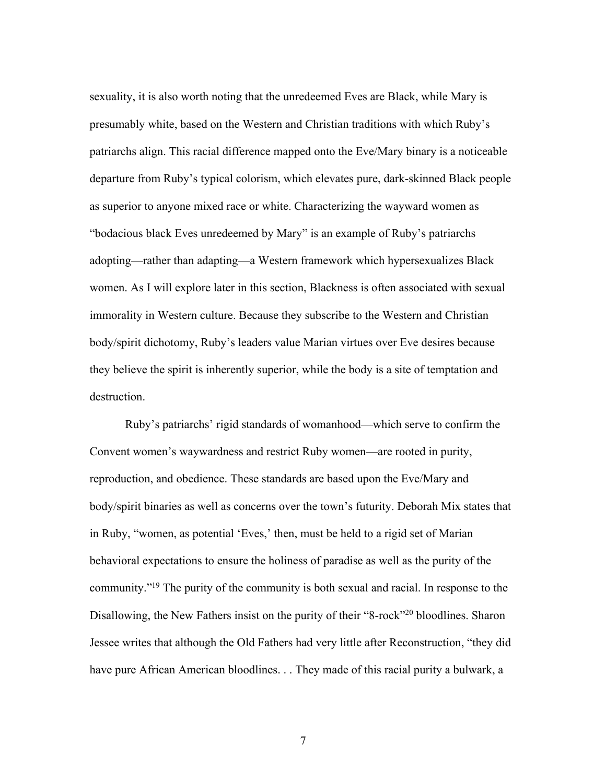sexuality, it is also worth noting that the unredeemed Eves are Black, while Mary is presumably white, based on the Western and Christian traditions with which Ruby's patriarchs align. This racial difference mapped onto the Eve/Mary binary is a noticeable departure from Ruby's typical colorism, which elevates pure, dark-skinned Black people as superior to anyone mixed race or white. Characterizing the wayward women as "bodacious black Eves unredeemed by Mary" is an example of Ruby's patriarchs adopting—rather than adapting—a Western framework which hypersexualizes Black women. As I will explore later in this section, Blackness is often associated with sexual immorality in Western culture. Because they subscribe to the Western and Christian body/spirit dichotomy, Ruby's leaders value Marian virtues over Eve desires because they believe the spirit is inherently superior, while the body is a site of temptation and destruction.

Ruby's patriarchs' rigid standards of womanhood—which serve to confirm the Convent women's waywardness and restrict Ruby women—are rooted in purity, reproduction, and obedience. These standards are based upon the Eve/Mary and body/spirit binaries as well as concerns over the town's futurity. Deborah Mix states that in Ruby, "women, as potential 'Eves,' then, must be held to a rigid set of Marian behavioral expectations to ensure the holiness of paradise as well as the purity of the community."19 The purity of the community is both sexual and racial. In response to the Disallowing, the New Fathers insist on the purity of their "8-rock"<sup>20</sup> bloodlines. Sharon Jessee writes that although the Old Fathers had very little after Reconstruction, "they did have pure African American bloodlines. . . They made of this racial purity a bulwark, a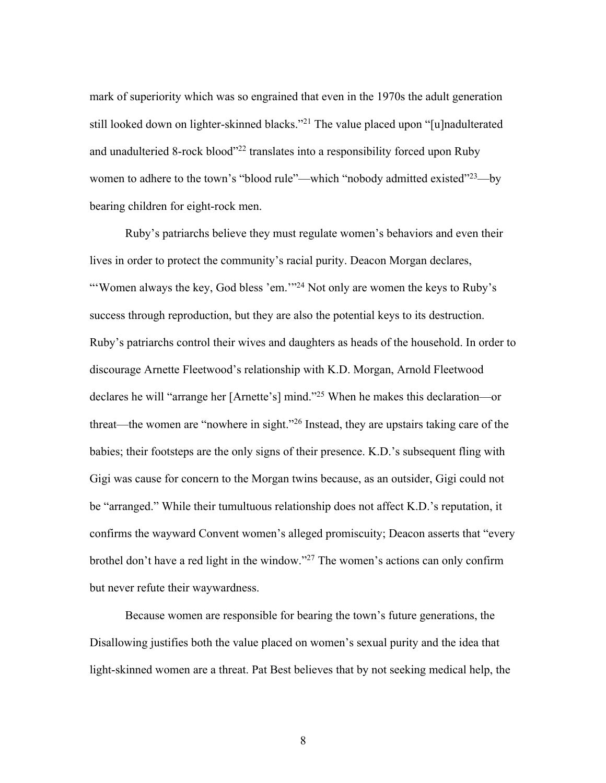mark of superiority which was so engrained that even in the 1970s the adult generation still looked down on lighter-skinned blacks."<sup>21</sup> The value placed upon "[u]nadulterated and unadulteried 8-rock blood"<sup>22</sup> translates into a responsibility forced upon Ruby women to adhere to the town's "blood rule"—which "nobody admitted existed"<sup>23</sup>—by bearing children for eight-rock men.

Ruby's patriarchs believe they must regulate women's behaviors and even their lives in order to protect the community's racial purity. Deacon Morgan declares, "'Women always the key, God bless 'em."<sup>24</sup> Not only are women the keys to Ruby's success through reproduction, but they are also the potential keys to its destruction. Ruby's patriarchs control their wives and daughters as heads of the household. In order to discourage Arnette Fleetwood's relationship with K.D. Morgan, Arnold Fleetwood declares he will "arrange her [Arnette's] mind."25 When he makes this declaration—or threat—the women are "nowhere in sight."26 Instead, they are upstairs taking care of the babies; their footsteps are the only signs of their presence. K.D.'s subsequent fling with Gigi was cause for concern to the Morgan twins because, as an outsider, Gigi could not be "arranged." While their tumultuous relationship does not affect K.D.'s reputation, it confirms the wayward Convent women's alleged promiscuity; Deacon asserts that "every brothel don't have a red light in the window."27 The women's actions can only confirm but never refute their waywardness.

Because women are responsible for bearing the town's future generations, the Disallowing justifies both the value placed on women's sexual purity and the idea that light-skinned women are a threat. Pat Best believes that by not seeking medical help, the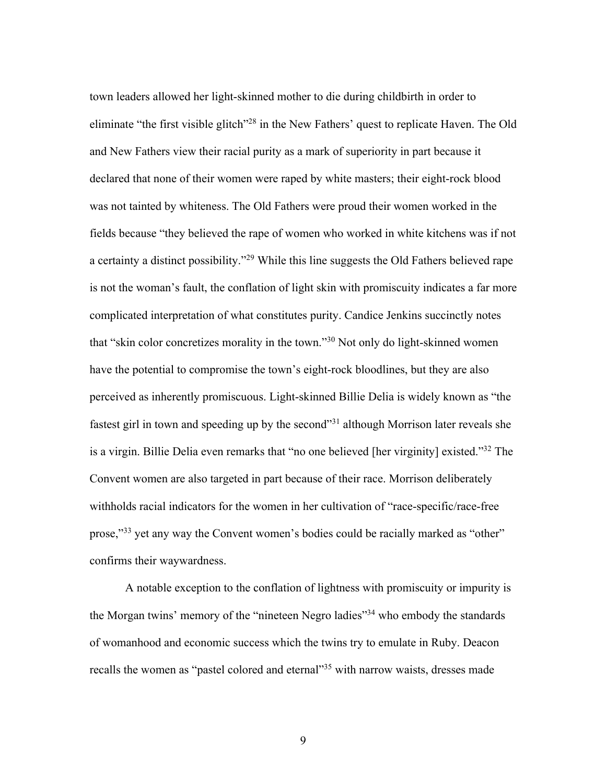town leaders allowed her light-skinned mother to die during childbirth in order to eliminate "the first visible glitch"<sup>28</sup> in the New Fathers' quest to replicate Haven. The Old and New Fathers view their racial purity as a mark of superiority in part because it declared that none of their women were raped by white masters; their eight-rock blood was not tainted by whiteness. The Old Fathers were proud their women worked in the fields because "they believed the rape of women who worked in white kitchens was if not a certainty a distinct possibility."29 While this line suggests the Old Fathers believed rape is not the woman's fault, the conflation of light skin with promiscuity indicates a far more complicated interpretation of what constitutes purity. Candice Jenkins succinctly notes that "skin color concretizes morality in the town."30 Not only do light-skinned women have the potential to compromise the town's eight-rock bloodlines, but they are also perceived as inherently promiscuous. Light-skinned Billie Delia is widely known as "the fastest girl in town and speeding up by the second"31 although Morrison later reveals she is a virgin. Billie Delia even remarks that "no one believed [her virginity] existed."32 The Convent women are also targeted in part because of their race. Morrison deliberately withholds racial indicators for the women in her cultivation of "race-specific/race-free prose,"33 yet any way the Convent women's bodies could be racially marked as "other" confirms their waywardness.

A notable exception to the conflation of lightness with promiscuity or impurity is the Morgan twins' memory of the "nineteen Negro ladies"<sup>34</sup> who embody the standards of womanhood and economic success which the twins try to emulate in Ruby. Deacon recalls the women as "pastel colored and eternal"<sup>35</sup> with narrow waists, dresses made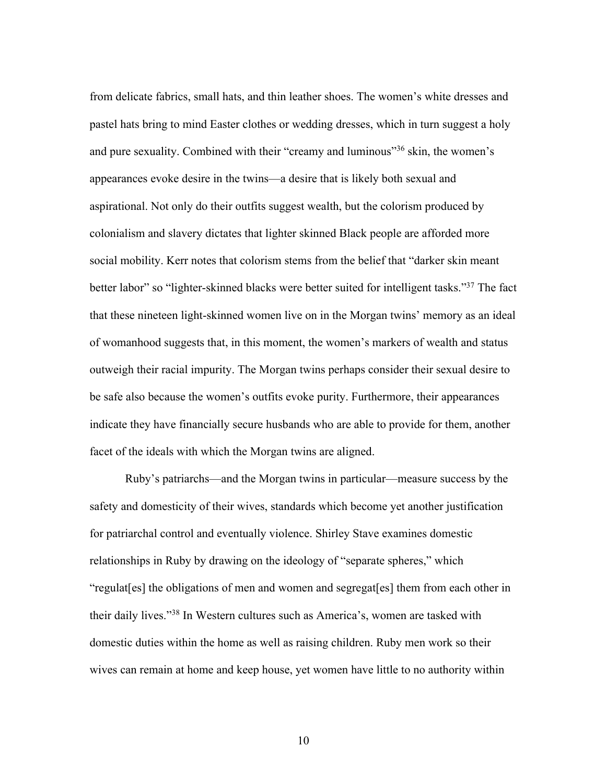from delicate fabrics, small hats, and thin leather shoes. The women's white dresses and pastel hats bring to mind Easter clothes or wedding dresses, which in turn suggest a holy and pure sexuality. Combined with their "creamy and luminous"36 skin, the women's appearances evoke desire in the twins—a desire that is likely both sexual and aspirational. Not only do their outfits suggest wealth, but the colorism produced by colonialism and slavery dictates that lighter skinned Black people are afforded more social mobility. Kerr notes that colorism stems from the belief that "darker skin meant better labor" so "lighter-skinned blacks were better suited for intelligent tasks."37 The fact that these nineteen light-skinned women live on in the Morgan twins' memory as an ideal of womanhood suggests that, in this moment, the women's markers of wealth and status outweigh their racial impurity. The Morgan twins perhaps consider their sexual desire to be safe also because the women's outfits evoke purity. Furthermore, their appearances indicate they have financially secure husbands who are able to provide for them, another facet of the ideals with which the Morgan twins are aligned.

Ruby's patriarchs—and the Morgan twins in particular—measure success by the safety and domesticity of their wives, standards which become yet another justification for patriarchal control and eventually violence. Shirley Stave examines domestic relationships in Ruby by drawing on the ideology of "separate spheres," which "regulat[es] the obligations of men and women and segregat[es] them from each other in their daily lives."38 In Western cultures such as America's, women are tasked with domestic duties within the home as well as raising children. Ruby men work so their wives can remain at home and keep house, yet women have little to no authority within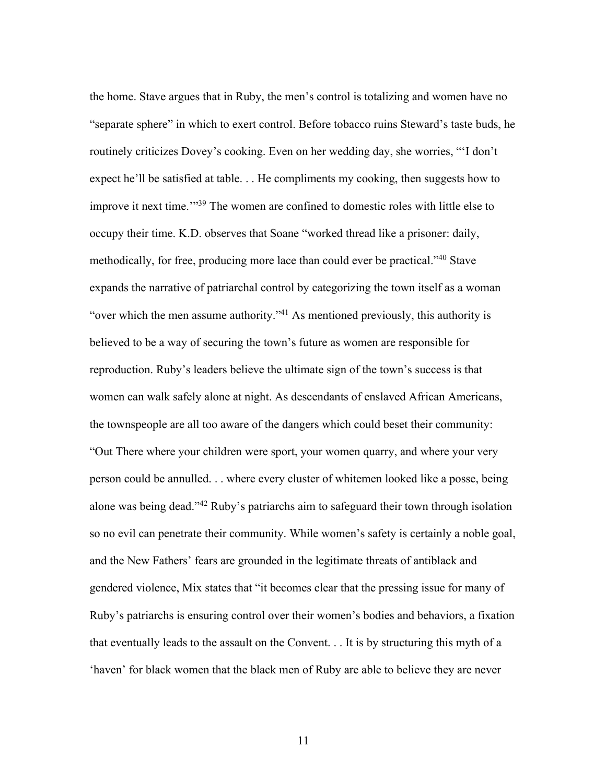the home. Stave argues that in Ruby, the men's control is totalizing and women have no "separate sphere" in which to exert control. Before tobacco ruins Steward's taste buds, he routinely criticizes Dovey's cooking. Even on her wedding day, she worries, "'I don't expect he'll be satisfied at table. . . He compliments my cooking, then suggests how to improve it next time.'"39 The women are confined to domestic roles with little else to occupy their time. K.D. observes that Soane "worked thread like a prisoner: daily, methodically, for free, producing more lace than could ever be practical."40 Stave expands the narrative of patriarchal control by categorizing the town itself as a woman "over which the men assume authority."41 As mentioned previously, this authority is believed to be a way of securing the town's future as women are responsible for reproduction. Ruby's leaders believe the ultimate sign of the town's success is that women can walk safely alone at night. As descendants of enslaved African Americans, the townspeople are all too aware of the dangers which could beset their community: "Out There where your children were sport, your women quarry, and where your very person could be annulled. . . where every cluster of whitemen looked like a posse, being alone was being dead."42 Ruby's patriarchs aim to safeguard their town through isolation so no evil can penetrate their community. While women's safety is certainly a noble goal, and the New Fathers' fears are grounded in the legitimate threats of antiblack and gendered violence, Mix states that "it becomes clear that the pressing issue for many of Ruby's patriarchs is ensuring control over their women's bodies and behaviors, a fixation that eventually leads to the assault on the Convent. . . It is by structuring this myth of a 'haven' for black women that the black men of Ruby are able to believe they are never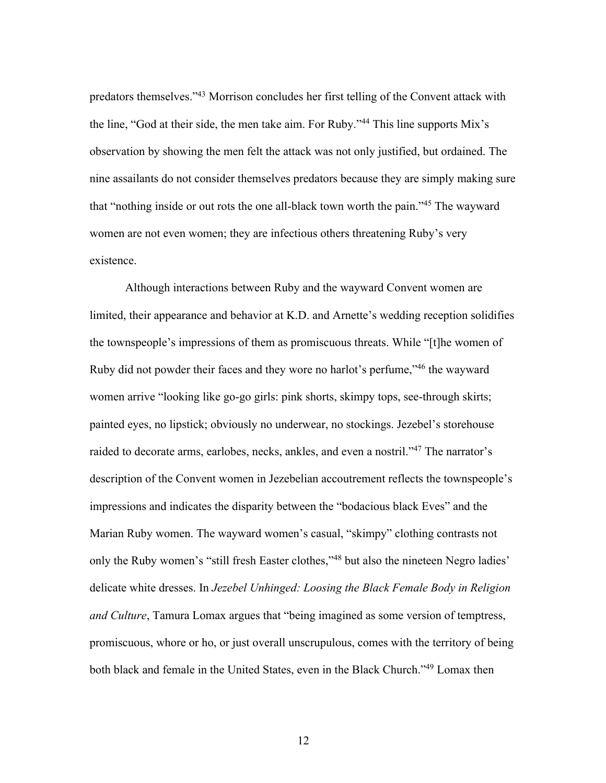predators themselves."43 Morrison concludes her first telling of the Convent attack with the line, "God at their side, the men take aim. For Ruby."44 This line supports Mix's observation by showing the men felt the attack was not only justified, but ordained. The nine assailants do not consider themselves predators because they are simply making sure that "nothing inside or out rots the one all-black town worth the pain."45 The wayward women are not even women; they are infectious others threatening Ruby's very existence.

Although interactions between Ruby and the wayward Convent women are limited, their appearance and behavior at K.D. and Arnette's wedding reception solidifies the townspeople's impressions of them as promiscuous threats. While "[t]he women of Ruby did not powder their faces and they wore no harlot's perfume,"<sup>46</sup> the wayward women arrive "looking like go-go girls: pink shorts, skimpy tops, see-through skirts; painted eyes, no lipstick; obviously no underwear, no stockings. Jezebel's storehouse raided to decorate arms, earlobes, necks, ankles, and even a nostril."47 The narrator's description of the Convent women in Jezebelian accoutrement reflects the townspeople's impressions and indicates the disparity between the "bodacious black Eves" and the Marian Ruby women. The wayward women's casual, "skimpy" clothing contrasts not only the Ruby women's "still fresh Easter clothes,"<sup>48</sup> but also the nineteen Negro ladies' delicate white dresses. In *Jezebel Unhinged: Loosing the Black Female Body in Religion and Culture*, Tamura Lomax argues that "being imagined as some version of temptress, promiscuous, whore or ho, or just overall unscrupulous, comes with the territory of being both black and female in the United States, even in the Black Church."49 Lomax then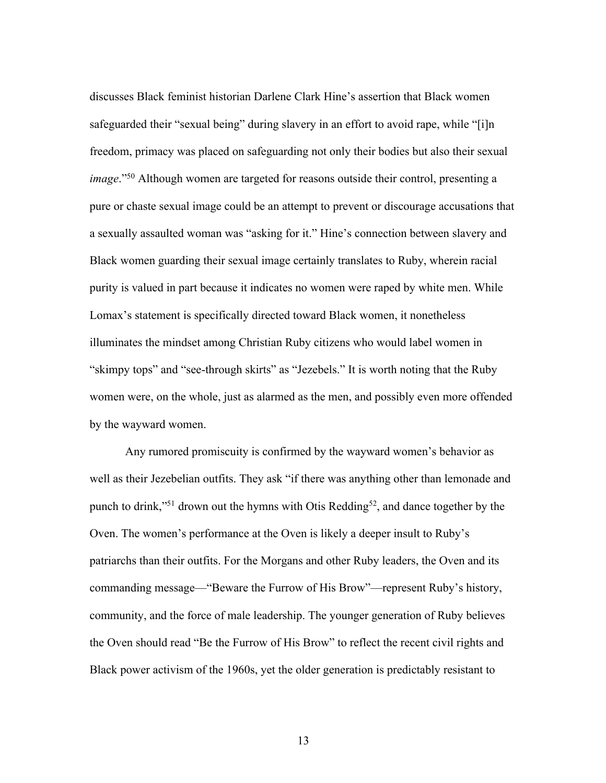discusses Black feminist historian Darlene Clark Hine's assertion that Black women safeguarded their "sexual being" during slavery in an effort to avoid rape, while "[i]n freedom, primacy was placed on safeguarding not only their bodies but also their sexual *image*."50 Although women are targeted for reasons outside their control, presenting a pure or chaste sexual image could be an attempt to prevent or discourage accusations that a sexually assaulted woman was "asking for it." Hine's connection between slavery and Black women guarding their sexual image certainly translates to Ruby, wherein racial purity is valued in part because it indicates no women were raped by white men. While Lomax's statement is specifically directed toward Black women, it nonetheless illuminates the mindset among Christian Ruby citizens who would label women in "skimpy tops" and "see-through skirts" as "Jezebels." It is worth noting that the Ruby women were, on the whole, just as alarmed as the men, and possibly even more offended by the wayward women.

Any rumored promiscuity is confirmed by the wayward women's behavior as well as their Jezebelian outfits. They ask "if there was anything other than lemonade and punch to drink,"<sup>51</sup> drown out the hymns with Otis Redding<sup>52</sup>, and dance together by the Oven. The women's performance at the Oven is likely a deeper insult to Ruby's patriarchs than their outfits. For the Morgans and other Ruby leaders, the Oven and its commanding message—"Beware the Furrow of His Brow"—represent Ruby's history, community, and the force of male leadership. The younger generation of Ruby believes the Oven should read "Be the Furrow of His Brow" to reflect the recent civil rights and Black power activism of the 1960s, yet the older generation is predictably resistant to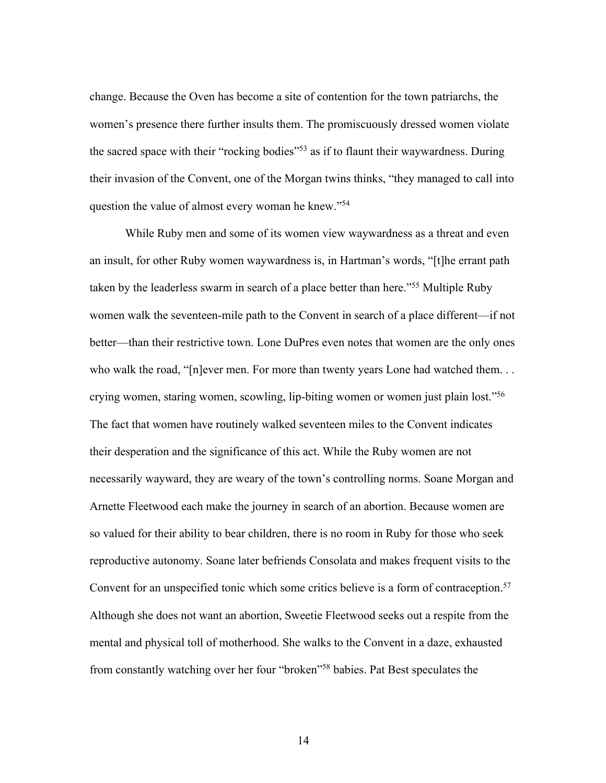change. Because the Oven has become a site of contention for the town patriarchs, the women's presence there further insults them. The promiscuously dressed women violate the sacred space with their "rocking bodies"<sup>53</sup> as if to flaunt their waywardness. During their invasion of the Convent, one of the Morgan twins thinks, "they managed to call into question the value of almost every woman he knew."<sup>54</sup>

While Ruby men and some of its women view waywardness as a threat and even an insult, for other Ruby women waywardness is, in Hartman's words, "[t]he errant path taken by the leaderless swarm in search of a place better than here."<sup>55</sup> Multiple Ruby women walk the seventeen-mile path to the Convent in search of a place different—if not better—than their restrictive town. Lone DuPres even notes that women are the only ones who walk the road, "[n]ever men. For more than twenty years Lone had watched them... crying women, staring women, scowling, lip-biting women or women just plain lost."56 The fact that women have routinely walked seventeen miles to the Convent indicates their desperation and the significance of this act. While the Ruby women are not necessarily wayward, they are weary of the town's controlling norms. Soane Morgan and Arnette Fleetwood each make the journey in search of an abortion. Because women are so valued for their ability to bear children, there is no room in Ruby for those who seek reproductive autonomy. Soane later befriends Consolata and makes frequent visits to the Convent for an unspecified tonic which some critics believe is a form of contraception.<sup>57</sup> Although she does not want an abortion, Sweetie Fleetwood seeks out a respite from the mental and physical toll of motherhood. She walks to the Convent in a daze, exhausted from constantly watching over her four "broken"58 babies. Pat Best speculates the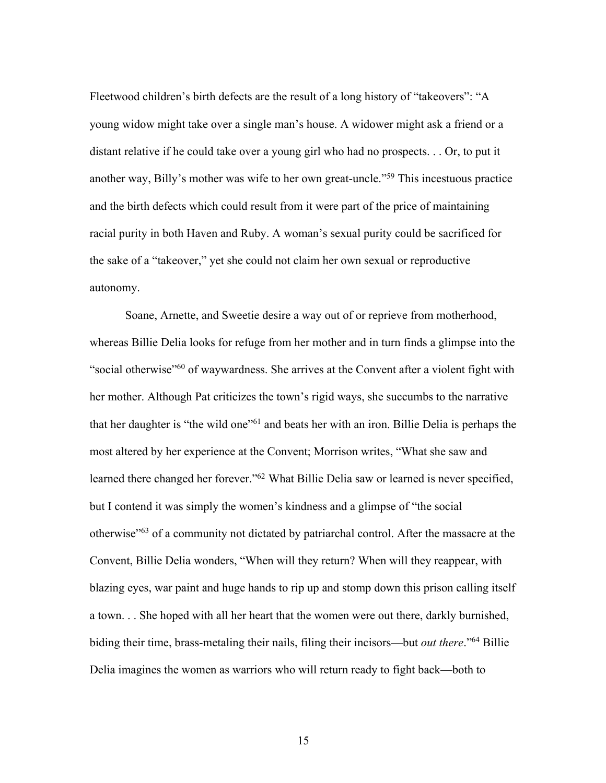Fleetwood children's birth defects are the result of a long history of "takeovers": "A young widow might take over a single man's house. A widower might ask a friend or a distant relative if he could take over a young girl who had no prospects. . . Or, to put it another way, Billy's mother was wife to her own great-uncle."59 This incestuous practice and the birth defects which could result from it were part of the price of maintaining racial purity in both Haven and Ruby. A woman's sexual purity could be sacrificed for the sake of a "takeover," yet she could not claim her own sexual or reproductive autonomy.

Soane, Arnette, and Sweetie desire a way out of or reprieve from motherhood, whereas Billie Delia looks for refuge from her mother and in turn finds a glimpse into the "social otherwise"<sup>60</sup> of waywardness. She arrives at the Convent after a violent fight with her mother. Although Pat criticizes the town's rigid ways, she succumbs to the narrative that her daughter is "the wild one"61 and beats her with an iron. Billie Delia is perhaps the most altered by her experience at the Convent; Morrison writes, "What she saw and learned there changed her forever."62 What Billie Delia saw or learned is never specified, but I contend it was simply the women's kindness and a glimpse of "the social otherwise"63 of a community not dictated by patriarchal control. After the massacre at the Convent, Billie Delia wonders, "When will they return? When will they reappear, with blazing eyes, war paint and huge hands to rip up and stomp down this prison calling itself a town. . . She hoped with all her heart that the women were out there, darkly burnished, biding their time, brass-metaling their nails, filing their incisors—but *out there*."64 Billie Delia imagines the women as warriors who will return ready to fight back—both to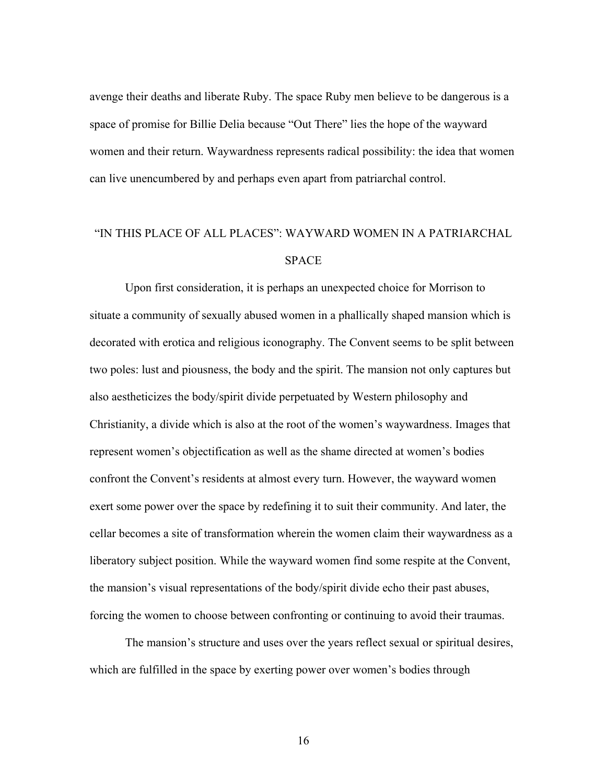avenge their deaths and liberate Ruby. The space Ruby men believe to be dangerous is a space of promise for Billie Delia because "Out There" lies the hope of the wayward women and their return. Waywardness represents radical possibility: the idea that women can live unencumbered by and perhaps even apart from patriarchal control.

# "IN THIS PLACE OF ALL PLACES": WAYWARD WOMEN IN A PATRIARCHAL SPACE

Upon first consideration, it is perhaps an unexpected choice for Morrison to situate a community of sexually abused women in a phallically shaped mansion which is decorated with erotica and religious iconography. The Convent seems to be split between two poles: lust and piousness, the body and the spirit. The mansion not only captures but also aestheticizes the body/spirit divide perpetuated by Western philosophy and Christianity, a divide which is also at the root of the women's waywardness. Images that represent women's objectification as well as the shame directed at women's bodies confront the Convent's residents at almost every turn. However, the wayward women exert some power over the space by redefining it to suit their community. And later, the cellar becomes a site of transformation wherein the women claim their waywardness as a liberatory subject position. While the wayward women find some respite at the Convent, the mansion's visual representations of the body/spirit divide echo their past abuses, forcing the women to choose between confronting or continuing to avoid their traumas.

The mansion's structure and uses over the years reflect sexual or spiritual desires, which are fulfilled in the space by exerting power over women's bodies through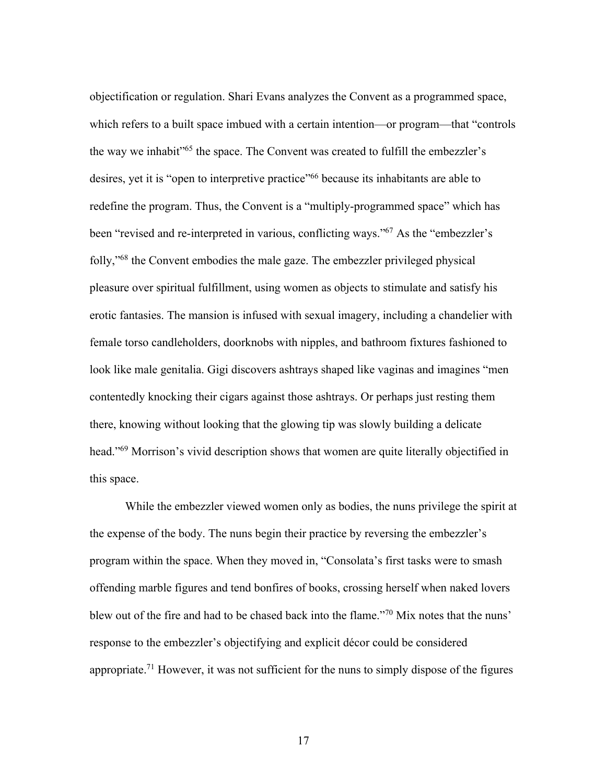objectification or regulation. Shari Evans analyzes the Convent as a programmed space, which refers to a built space imbued with a certain intention—or program—that "controls" the way we inhabit"65 the space. The Convent was created to fulfill the embezzler's desires, yet it is "open to interpretive practice"66 because its inhabitants are able to redefine the program. Thus, the Convent is a "multiply-programmed space" which has been "revised and re-interpreted in various, conflicting ways."<sup>67</sup> As the "embezzler's folly,"68 the Convent embodies the male gaze. The embezzler privileged physical pleasure over spiritual fulfillment, using women as objects to stimulate and satisfy his erotic fantasies. The mansion is infused with sexual imagery, including a chandelier with female torso candleholders, doorknobs with nipples, and bathroom fixtures fashioned to look like male genitalia. Gigi discovers ashtrays shaped like vaginas and imagines "men contentedly knocking their cigars against those ashtrays. Or perhaps just resting them there, knowing without looking that the glowing tip was slowly building a delicate head."69 Morrison's vivid description shows that women are quite literally objectified in this space.

While the embezzler viewed women only as bodies, the nuns privilege the spirit at the expense of the body. The nuns begin their practice by reversing the embezzler's program within the space. When they moved in, "Consolata's first tasks were to smash offending marble figures and tend bonfires of books, crossing herself when naked lovers blew out of the fire and had to be chased back into the flame."70 Mix notes that the nuns' response to the embezzler's objectifying and explicit décor could be considered appropriate.<sup>71</sup> However, it was not sufficient for the nuns to simply dispose of the figures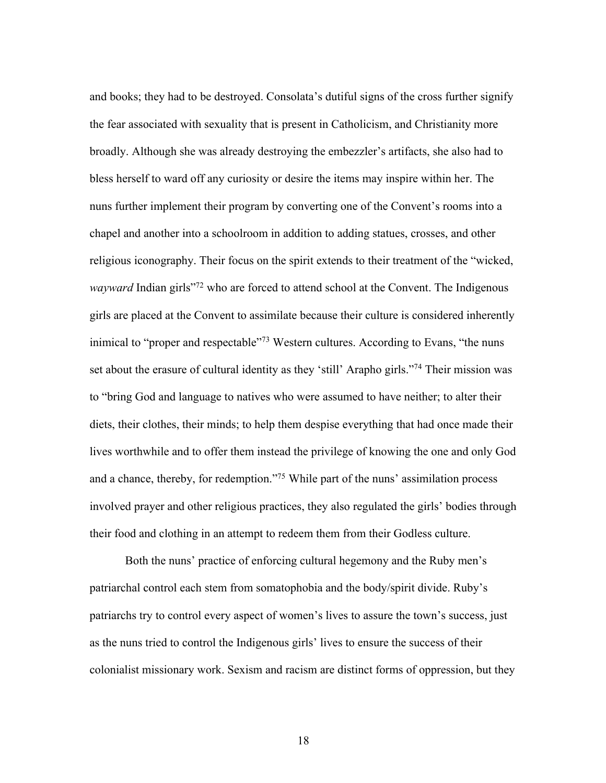and books; they had to be destroyed. Consolata's dutiful signs of the cross further signify the fear associated with sexuality that is present in Catholicism, and Christianity more broadly. Although she was already destroying the embezzler's artifacts, she also had to bless herself to ward off any curiosity or desire the items may inspire within her. The nuns further implement their program by converting one of the Convent's rooms into a chapel and another into a schoolroom in addition to adding statues, crosses, and other religious iconography. Their focus on the spirit extends to their treatment of the "wicked, *wayward* Indian girls<sup>"72</sup> who are forced to attend school at the Convent. The Indigenous girls are placed at the Convent to assimilate because their culture is considered inherently inimical to "proper and respectable"<sup>73</sup> Western cultures. According to Evans, "the nuns set about the erasure of cultural identity as they 'still' Arapho girls."<sup>74</sup> Their mission was to "bring God and language to natives who were assumed to have neither; to alter their diets, their clothes, their minds; to help them despise everything that had once made their lives worthwhile and to offer them instead the privilege of knowing the one and only God and a chance, thereby, for redemption."<sup>75</sup> While part of the nuns' assimilation process involved prayer and other religious practices, they also regulated the girls' bodies through their food and clothing in an attempt to redeem them from their Godless culture.

Both the nuns' practice of enforcing cultural hegemony and the Ruby men's patriarchal control each stem from somatophobia and the body/spirit divide. Ruby's patriarchs try to control every aspect of women's lives to assure the town's success, just as the nuns tried to control the Indigenous girls' lives to ensure the success of their colonialist missionary work. Sexism and racism are distinct forms of oppression, but they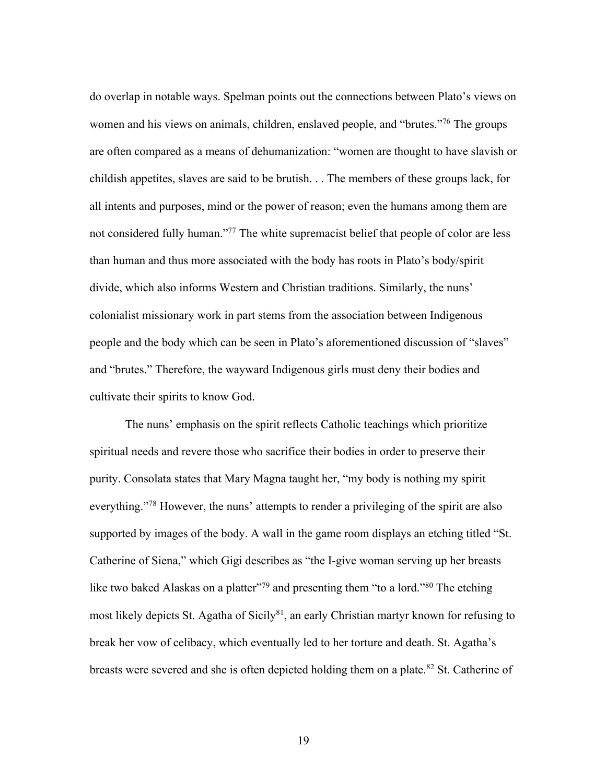do overlap in notable ways. Spelman points out the connections between Plato's views on women and his views on animals, children, enslaved people, and "brutes."<sup>76</sup> The groups are often compared as a means of dehumanization: "women are thought to have slavish or childish appetites, slaves are said to be brutish. . . The members of these groups lack, for all intents and purposes, mind or the power of reason; even the humans among them are not considered fully human."<sup>77</sup> The white supremacist belief that people of color are less than human and thus more associated with the body has roots in Plato's body/spirit divide, which also informs Western and Christian traditions. Similarly, the nuns' colonialist missionary work in part stems from the association between Indigenous people and the body which can be seen in Plato's aforementioned discussion of "slaves" and "brutes." Therefore, the wayward Indigenous girls must deny their bodies and cultivate their spirits to know God.

The nuns' emphasis on the spirit reflects Catholic teachings which prioritize spiritual needs and revere those who sacrifice their bodies in order to preserve their purity. Consolata states that Mary Magna taught her, "my body is nothing my spirit everything."78 However, the nuns' attempts to render a privileging of the spirit are also supported by images of the body. A wall in the game room displays an etching titled "St. Catherine of Siena," which Gigi describes as "the I-give woman serving up her breasts like two baked Alaskas on a platter"<sup>79</sup> and presenting them "to a lord."<sup>80</sup> The etching most likely depicts St. Agatha of Sicily<sup>81</sup>, an early Christian martyr known for refusing to break her vow of celibacy, which eventually led to her torture and death. St. Agatha's breasts were severed and she is often depicted holding them on a plate. $82$  St. Catherine of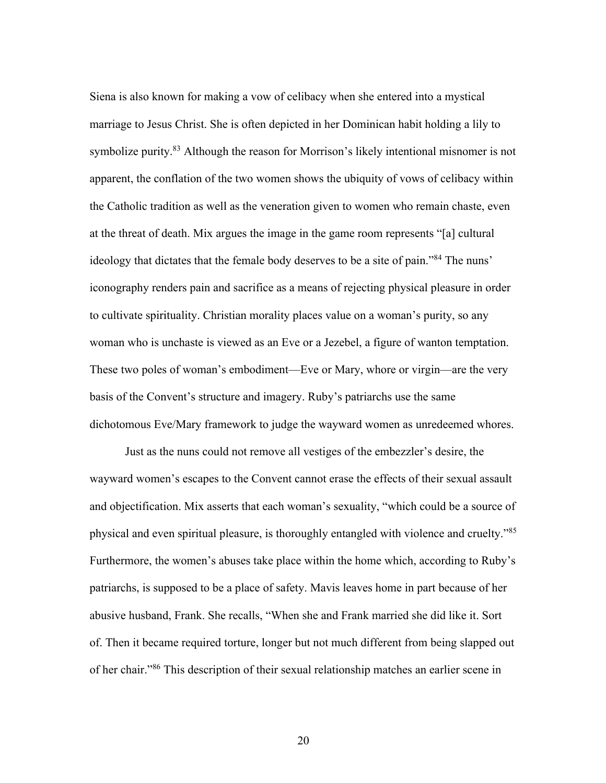Siena is also known for making a vow of celibacy when she entered into a mystical marriage to Jesus Christ. She is often depicted in her Dominican habit holding a lily to symbolize purity.<sup>83</sup> Although the reason for Morrison's likely intentional misnomer is not apparent, the conflation of the two women shows the ubiquity of vows of celibacy within the Catholic tradition as well as the veneration given to women who remain chaste, even at the threat of death. Mix argues the image in the game room represents "[a] cultural ideology that dictates that the female body deserves to be a site of pain."<sup>84</sup> The nuns' iconography renders pain and sacrifice as a means of rejecting physical pleasure in order to cultivate spirituality. Christian morality places value on a woman's purity, so any woman who is unchaste is viewed as an Eve or a Jezebel, a figure of wanton temptation. These two poles of woman's embodiment—Eve or Mary, whore or virgin—are the very basis of the Convent's structure and imagery. Ruby's patriarchs use the same dichotomous Eve/Mary framework to judge the wayward women as unredeemed whores.

Just as the nuns could not remove all vestiges of the embezzler's desire, the wayward women's escapes to the Convent cannot erase the effects of their sexual assault and objectification. Mix asserts that each woman's sexuality, "which could be a source of physical and even spiritual pleasure, is thoroughly entangled with violence and cruelty."85 Furthermore, the women's abuses take place within the home which, according to Ruby's patriarchs, is supposed to be a place of safety. Mavis leaves home in part because of her abusive husband, Frank. She recalls, "When she and Frank married she did like it. Sort of. Then it became required torture, longer but not much different from being slapped out of her chair."86 This description of their sexual relationship matches an earlier scene in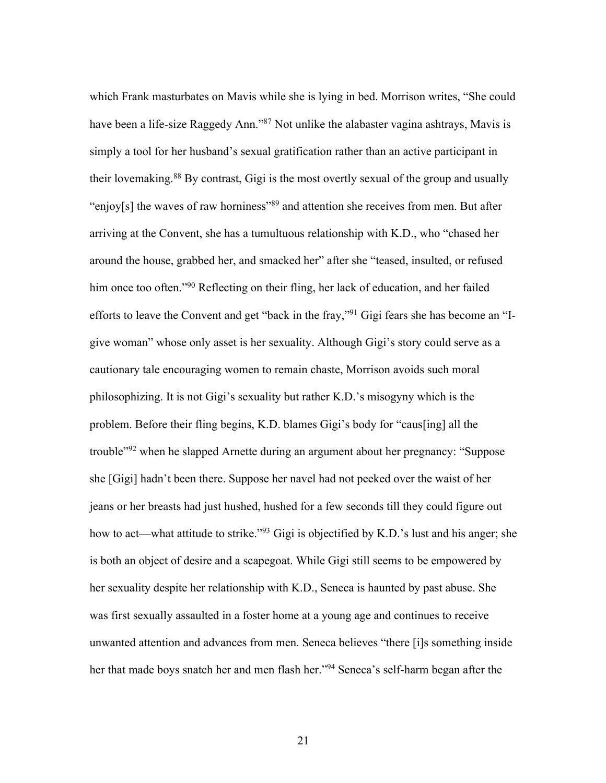which Frank masturbates on Mavis while she is lying in bed. Morrison writes, "She could have been a life-size Raggedy Ann."<sup>87</sup> Not unlike the alabaster vagina ashtrays, Mavis is simply a tool for her husband's sexual gratification rather than an active participant in their lovemaking.88 By contrast, Gigi is the most overtly sexual of the group and usually "enjoy[s] the waves of raw horniness"<sup>89</sup> and attention she receives from men. But after arriving at the Convent, she has a tumultuous relationship with K.D., who "chased her around the house, grabbed her, and smacked her" after she "teased, insulted, or refused him once too often."<sup>90</sup> Reflecting on their fling, her lack of education, and her failed efforts to leave the Convent and get "back in the fray,"91 Gigi fears she has become an "Igive woman" whose only asset is her sexuality. Although Gigi's story could serve as a cautionary tale encouraging women to remain chaste, Morrison avoids such moral philosophizing. It is not Gigi's sexuality but rather K.D.'s misogyny which is the problem. Before their fling begins, K.D. blames Gigi's body for "caus[ing] all the trouble"92 when he slapped Arnette during an argument about her pregnancy: "Suppose she [Gigi] hadn't been there. Suppose her navel had not peeked over the waist of her jeans or her breasts had just hushed, hushed for a few seconds till they could figure out how to act—what attitude to strike."<sup>93</sup> Gigi is objectified by K.D.'s lust and his anger; she is both an object of desire and a scapegoat. While Gigi still seems to be empowered by her sexuality despite her relationship with K.D., Seneca is haunted by past abuse. She was first sexually assaulted in a foster home at a young age and continues to receive unwanted attention and advances from men. Seneca believes "there [i]s something inside her that made boys snatch her and men flash her."94 Seneca's self-harm began after the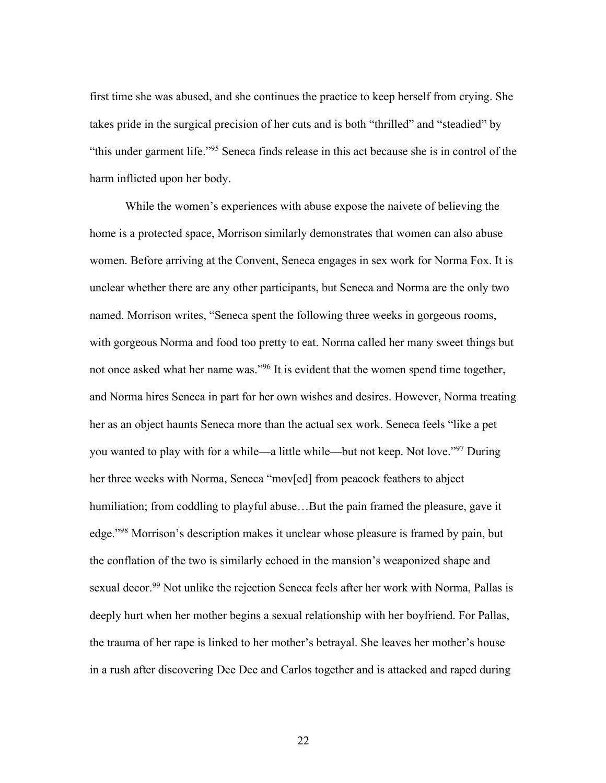first time she was abused, and she continues the practice to keep herself from crying. She takes pride in the surgical precision of her cuts and is both "thrilled" and "steadied" by "this under garment life."95 Seneca finds release in this act because she is in control of the harm inflicted upon her body.

While the women's experiences with abuse expose the naivete of believing the home is a protected space, Morrison similarly demonstrates that women can also abuse women. Before arriving at the Convent, Seneca engages in sex work for Norma Fox. It is unclear whether there are any other participants, but Seneca and Norma are the only two named. Morrison writes, "Seneca spent the following three weeks in gorgeous rooms, with gorgeous Norma and food too pretty to eat. Norma called her many sweet things but not once asked what her name was."96 It is evident that the women spend time together, and Norma hires Seneca in part for her own wishes and desires. However, Norma treating her as an object haunts Seneca more than the actual sex work. Seneca feels "like a pet you wanted to play with for a while—a little while—but not keep. Not love."97 During her three weeks with Norma, Seneca "mov[ed] from peacock feathers to abject humiliation; from coddling to playful abuse...But the pain framed the pleasure, gave it edge."98 Morrison's description makes it unclear whose pleasure is framed by pain, but the conflation of the two is similarly echoed in the mansion's weaponized shape and sexual decor.<sup>99</sup> Not unlike the rejection Seneca feels after her work with Norma, Pallas is deeply hurt when her mother begins a sexual relationship with her boyfriend. For Pallas, the trauma of her rape is linked to her mother's betrayal. She leaves her mother's house in a rush after discovering Dee Dee and Carlos together and is attacked and raped during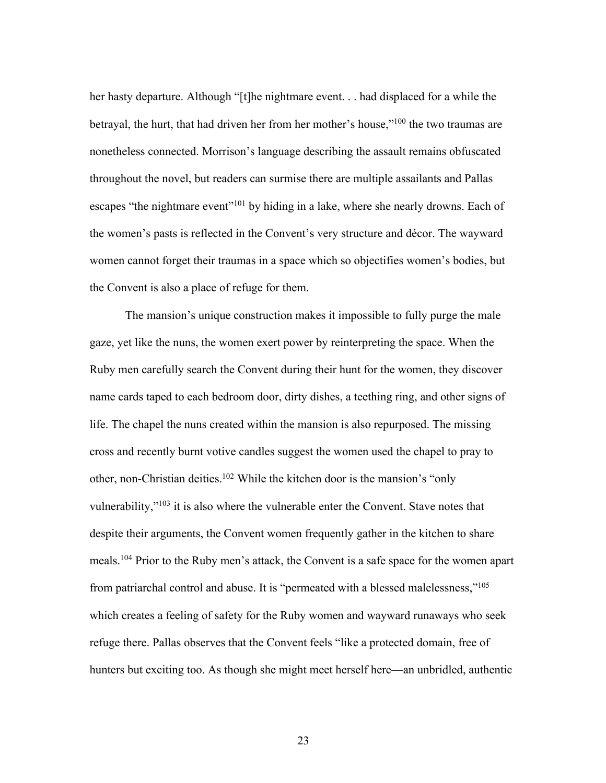her hasty departure. Although "[t]he nightmare event. . . had displaced for a while the betrayal, the hurt, that had driven her from her mother's house,"100 the two traumas are nonetheless connected. Morrison's language describing the assault remains obfuscated throughout the novel, but readers can surmise there are multiple assailants and Pallas escapes "the nightmare event"<sup>101</sup> by hiding in a lake, where she nearly drowns. Each of the women's pasts is reflected in the Convent's very structure and décor. The wayward women cannot forget their traumas in a space which so objectifies women's bodies, but the Convent is also a place of refuge for them.

The mansion's unique construction makes it impossible to fully purge the male gaze, yet like the nuns, the women exert power by reinterpreting the space. When the Ruby men carefully search the Convent during their hunt for the women, they discover name cards taped to each bedroom door, dirty dishes, a teething ring, and other signs of life. The chapel the nuns created within the mansion is also repurposed. The missing cross and recently burnt votive candles suggest the women used the chapel to pray to other, non-Christian deities.102 While the kitchen door is the mansion's "only vulnerability,"103 it is also where the vulnerable enter the Convent. Stave notes that despite their arguments, the Convent women frequently gather in the kitchen to share meals.104 Prior to the Ruby men's attack, the Convent is a safe space for the women apart from patriarchal control and abuse. It is "permeated with a blessed malelessness,"105 which creates a feeling of safety for the Ruby women and wayward runaways who seek refuge there. Pallas observes that the Convent feels "like a protected domain, free of hunters but exciting too. As though she might meet herself here—an unbridled, authentic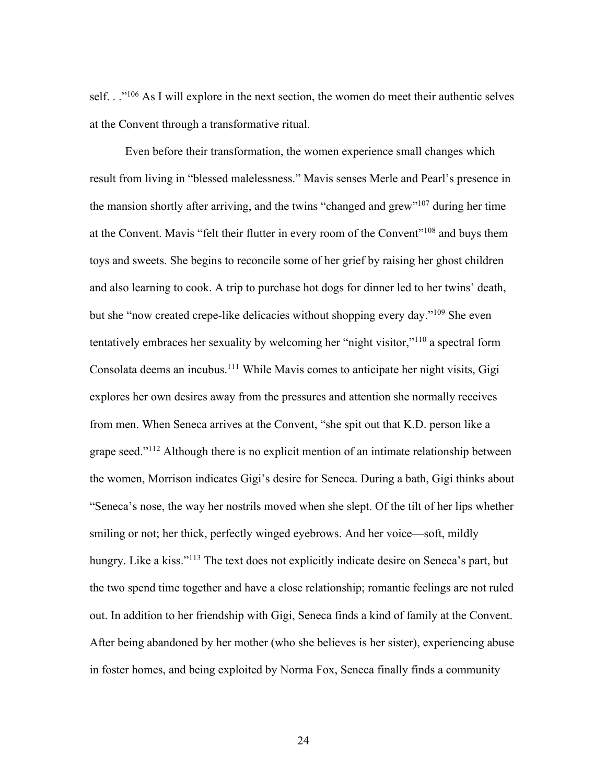self. . .<sup>"106</sup> As I will explore in the next section, the women do meet their authentic selves at the Convent through a transformative ritual.

Even before their transformation, the women experience small changes which result from living in "blessed malelessness." Mavis senses Merle and Pearl's presence in the mansion shortly after arriving, and the twins "changed and grew"107 during her time at the Convent. Mavis "felt their flutter in every room of the Convent"108 and buys them toys and sweets. She begins to reconcile some of her grief by raising her ghost children and also learning to cook. A trip to purchase hot dogs for dinner led to her twins' death, but she "now created crepe-like delicacies without shopping every day."109 She even tentatively embraces her sexuality by welcoming her "night visitor,"110 a spectral form Consolata deems an incubus.111 While Mavis comes to anticipate her night visits, Gigi explores her own desires away from the pressures and attention she normally receives from men. When Seneca arrives at the Convent, "she spit out that K.D. person like a grape seed."112 Although there is no explicit mention of an intimate relationship between the women, Morrison indicates Gigi's desire for Seneca. During a bath, Gigi thinks about "Seneca's nose, the way her nostrils moved when she slept. Of the tilt of her lips whether smiling or not; her thick, perfectly winged eyebrows. And her voice—soft, mildly hungry. Like a kiss."<sup>113</sup> The text does not explicitly indicate desire on Seneca's part, but the two spend time together and have a close relationship; romantic feelings are not ruled out. In addition to her friendship with Gigi, Seneca finds a kind of family at the Convent. After being abandoned by her mother (who she believes is her sister), experiencing abuse in foster homes, and being exploited by Norma Fox, Seneca finally finds a community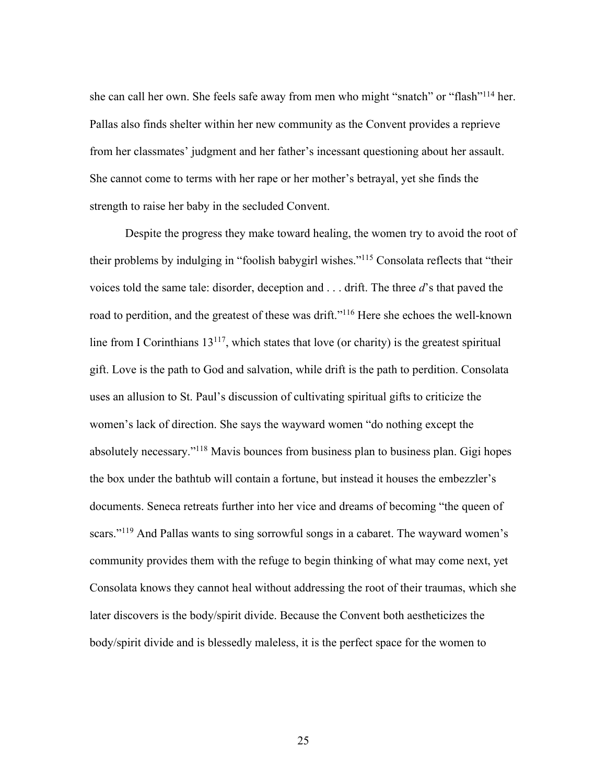she can call her own. She feels safe away from men who might "snatch" or "flash"114 her. Pallas also finds shelter within her new community as the Convent provides a reprieve from her classmates' judgment and her father's incessant questioning about her assault. She cannot come to terms with her rape or her mother's betrayal, yet she finds the strength to raise her baby in the secluded Convent.

Despite the progress they make toward healing, the women try to avoid the root of their problems by indulging in "foolish babygirl wishes."115 Consolata reflects that "their voices told the same tale: disorder, deception and . . . drift. The three *d*'s that paved the road to perdition, and the greatest of these was drift."116 Here she echoes the well-known line from I Corinthians  $13^{117}$ , which states that love (or charity) is the greatest spiritual gift. Love is the path to God and salvation, while drift is the path to perdition. Consolata uses an allusion to St. Paul's discussion of cultivating spiritual gifts to criticize the women's lack of direction. She says the wayward women "do nothing except the absolutely necessary."118 Mavis bounces from business plan to business plan. Gigi hopes the box under the bathtub will contain a fortune, but instead it houses the embezzler's documents. Seneca retreats further into her vice and dreams of becoming "the queen of scars."<sup>119</sup> And Pallas wants to sing sorrowful songs in a cabaret. The wayward women's community provides them with the refuge to begin thinking of what may come next, yet Consolata knows they cannot heal without addressing the root of their traumas, which she later discovers is the body/spirit divide. Because the Convent both aestheticizes the body/spirit divide and is blessedly maleless, it is the perfect space for the women to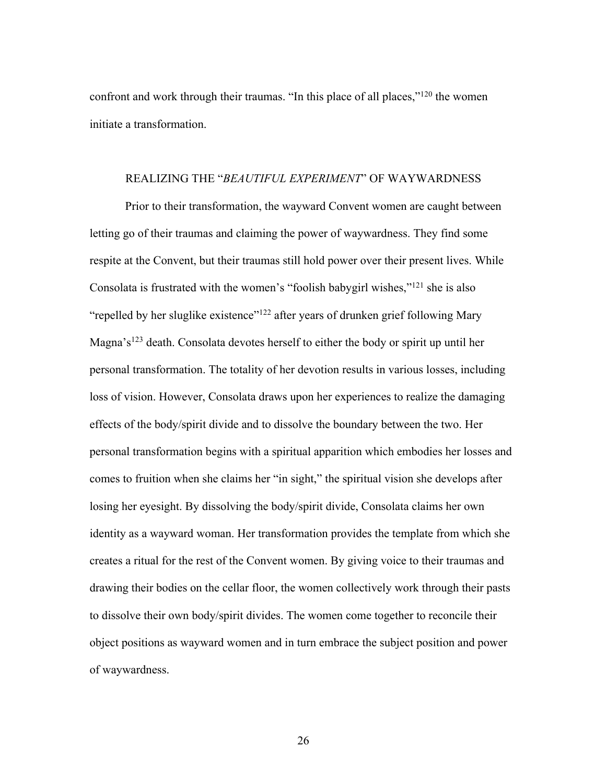confront and work through their traumas. "In this place of all places,"120 the women initiate a transformation.

#### REALIZING THE "*BEAUTIFUL EXPERIMENT*" OF WAYWARDNESS

Prior to their transformation, the wayward Convent women are caught between letting go of their traumas and claiming the power of waywardness. They find some respite at the Convent, but their traumas still hold power over their present lives. While Consolata is frustrated with the women's "foolish babygirl wishes,"121 she is also "repelled by her sluglike existence"<sup>122</sup> after years of drunken grief following Mary Magna's<sup>123</sup> death. Consolata devotes herself to either the body or spirit up until her personal transformation. The totality of her devotion results in various losses, including loss of vision. However, Consolata draws upon her experiences to realize the damaging effects of the body/spirit divide and to dissolve the boundary between the two. Her personal transformation begins with a spiritual apparition which embodies her losses and comes to fruition when she claims her "in sight," the spiritual vision she develops after losing her eyesight. By dissolving the body/spirit divide, Consolata claims her own identity as a wayward woman. Her transformation provides the template from which she creates a ritual for the rest of the Convent women. By giving voice to their traumas and drawing their bodies on the cellar floor, the women collectively work through their pasts to dissolve their own body/spirit divides. The women come together to reconcile their object positions as wayward women and in turn embrace the subject position and power of waywardness.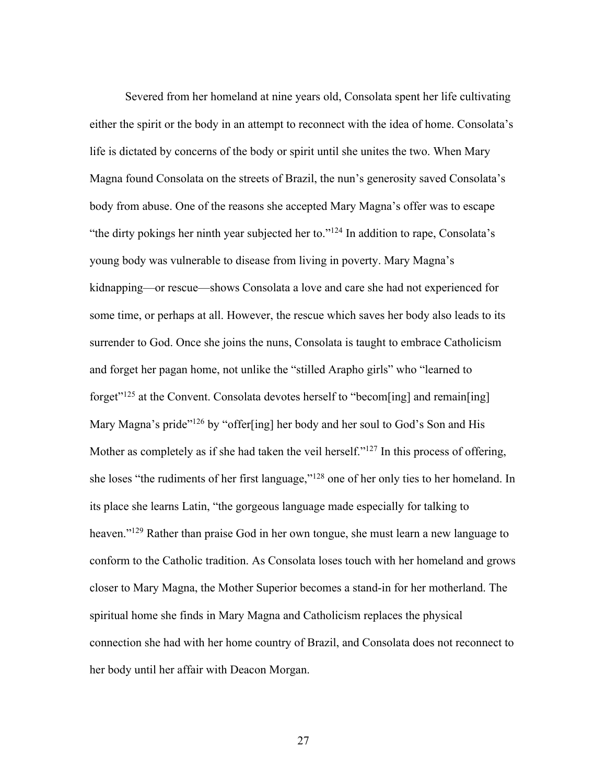Severed from her homeland at nine years old, Consolata spent her life cultivating either the spirit or the body in an attempt to reconnect with the idea of home. Consolata's life is dictated by concerns of the body or spirit until she unites the two. When Mary Magna found Consolata on the streets of Brazil, the nun's generosity saved Consolata's body from abuse. One of the reasons she accepted Mary Magna's offer was to escape "the dirty pokings her ninth year subjected her to."<sup>124</sup> In addition to rape, Consolata's young body was vulnerable to disease from living in poverty. Mary Magna's kidnapping—or rescue—shows Consolata a love and care she had not experienced for some time, or perhaps at all. However, the rescue which saves her body also leads to its surrender to God. Once she joins the nuns, Consolata is taught to embrace Catholicism and forget her pagan home, not unlike the "stilled Arapho girls" who "learned to forget"<sup>125</sup> at the Convent. Consolata devotes herself to "becom[ing] and remain[ing] Mary Magna's pride"<sup>126</sup> by "offer[ing] her body and her soul to God's Son and His Mother as completely as if she had taken the veil herself."<sup>127</sup> In this process of offering, she loses "the rudiments of her first language,"128 one of her only ties to her homeland. In its place she learns Latin, "the gorgeous language made especially for talking to heaven."<sup>129</sup> Rather than praise God in her own tongue, she must learn a new language to conform to the Catholic tradition. As Consolata loses touch with her homeland and grows closer to Mary Magna, the Mother Superior becomes a stand-in for her motherland. The spiritual home she finds in Mary Magna and Catholicism replaces the physical connection she had with her home country of Brazil, and Consolata does not reconnect to her body until her affair with Deacon Morgan.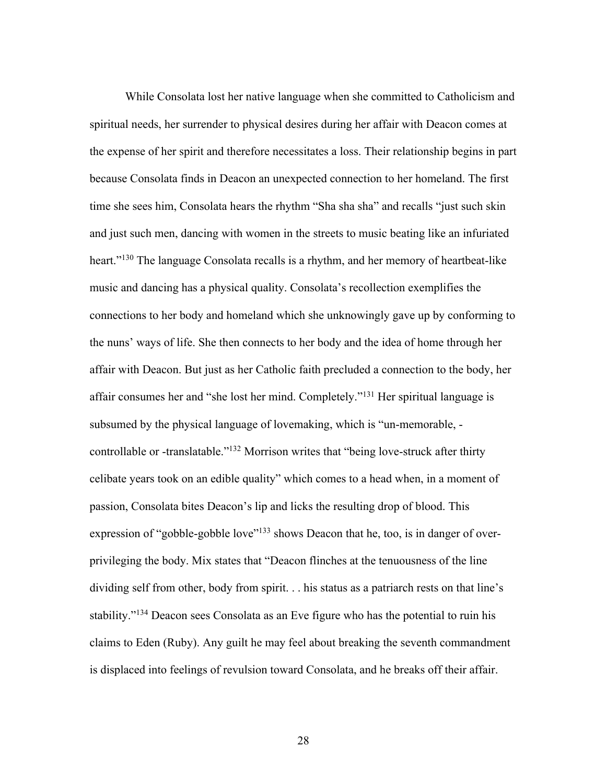While Consolata lost her native language when she committed to Catholicism and spiritual needs, her surrender to physical desires during her affair with Deacon comes at the expense of her spirit and therefore necessitates a loss. Their relationship begins in part because Consolata finds in Deacon an unexpected connection to her homeland. The first time she sees him, Consolata hears the rhythm "Sha sha sha" and recalls "just such skin and just such men, dancing with women in the streets to music beating like an infuriated heart."<sup>130</sup> The language Consolata recalls is a rhythm, and her memory of heartbeat-like music and dancing has a physical quality. Consolata's recollection exemplifies the connections to her body and homeland which she unknowingly gave up by conforming to the nuns' ways of life. She then connects to her body and the idea of home through her affair with Deacon. But just as her Catholic faith precluded a connection to the body, her affair consumes her and "she lost her mind. Completely."131 Her spiritual language is subsumed by the physical language of lovemaking, which is "un-memorable, controllable or -translatable."132 Morrison writes that "being love-struck after thirty celibate years took on an edible quality" which comes to a head when, in a moment of passion, Consolata bites Deacon's lip and licks the resulting drop of blood. This expression of "gobble-gobble love"<sup>133</sup> shows Deacon that he, too, is in danger of overprivileging the body. Mix states that "Deacon flinches at the tenuousness of the line dividing self from other, body from spirit. . . his status as a patriarch rests on that line's stability."134 Deacon sees Consolata as an Eve figure who has the potential to ruin his claims to Eden (Ruby). Any guilt he may feel about breaking the seventh commandment is displaced into feelings of revulsion toward Consolata, and he breaks off their affair.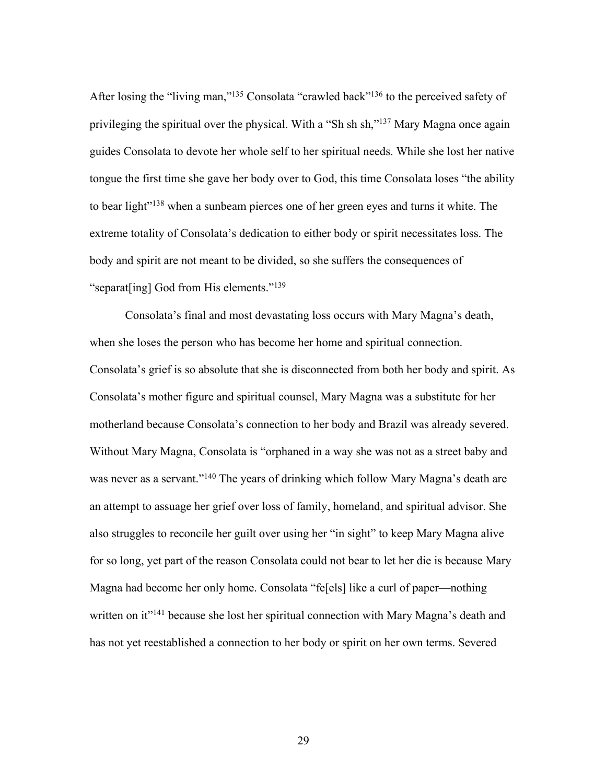After losing the "living man,"<sup>135</sup> Consolata "crawled back"<sup>136</sup> to the perceived safety of privileging the spiritual over the physical. With a "Sh sh sh,"<sup>137</sup> Mary Magna once again guides Consolata to devote her whole self to her spiritual needs. While she lost her native tongue the first time she gave her body over to God, this time Consolata loses "the ability to bear light"<sup>138</sup> when a sunbeam pierces one of her green eyes and turns it white. The extreme totality of Consolata's dedication to either body or spirit necessitates loss. The body and spirit are not meant to be divided, so she suffers the consequences of "separat[ing] God from His elements."<sup>139</sup>

Consolata's final and most devastating loss occurs with Mary Magna's death, when she loses the person who has become her home and spiritual connection. Consolata's grief is so absolute that she is disconnected from both her body and spirit. As Consolata's mother figure and spiritual counsel, Mary Magna was a substitute for her motherland because Consolata's connection to her body and Brazil was already severed. Without Mary Magna, Consolata is "orphaned in a way she was not as a street baby and was never as a servant."<sup>140</sup> The years of drinking which follow Mary Magna's death are an attempt to assuage her grief over loss of family, homeland, and spiritual advisor. She also struggles to reconcile her guilt over using her "in sight" to keep Mary Magna alive for so long, yet part of the reason Consolata could not bear to let her die is because Mary Magna had become her only home. Consolata "fe[els] like a curl of paper—nothing written on it<sup>"141</sup> because she lost her spiritual connection with Mary Magna's death and has not yet reestablished a connection to her body or spirit on her own terms. Severed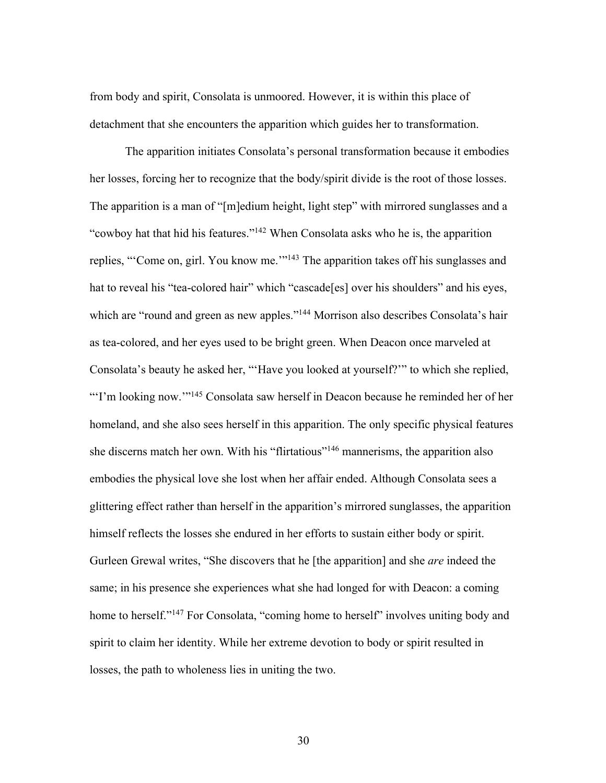from body and spirit, Consolata is unmoored. However, it is within this place of detachment that she encounters the apparition which guides her to transformation.

The apparition initiates Consolata's personal transformation because it embodies her losses, forcing her to recognize that the body/spirit divide is the root of those losses. The apparition is a man of "[m]edium height, light step" with mirrored sunglasses and a "cowboy hat that hid his features."142 When Consolata asks who he is, the apparition replies, "'Come on, girl. You know me."<sup>143</sup> The apparition takes off his sunglasses and hat to reveal his "tea-colored hair" which "cascade[es] over his shoulders" and his eyes, which are "round and green as new apples."<sup>144</sup> Morrison also describes Consolata's hair as tea-colored, and her eyes used to be bright green. When Deacon once marveled at Consolata's beauty he asked her, "'Have you looked at yourself?'" to which she replied, "'I'm looking now."<sup>145</sup> Consolata saw herself in Deacon because he reminded her of her homeland, and she also sees herself in this apparition. The only specific physical features she discerns match her own. With his "flirtatious"146 mannerisms, the apparition also embodies the physical love she lost when her affair ended. Although Consolata sees a glittering effect rather than herself in the apparition's mirrored sunglasses, the apparition himself reflects the losses she endured in her efforts to sustain either body or spirit. Gurleen Grewal writes, "She discovers that he [the apparition] and she *are* indeed the same; in his presence she experiences what she had longed for with Deacon: a coming home to herself."<sup>147</sup> For Consolata, "coming home to herself" involves uniting body and spirit to claim her identity. While her extreme devotion to body or spirit resulted in losses, the path to wholeness lies in uniting the two.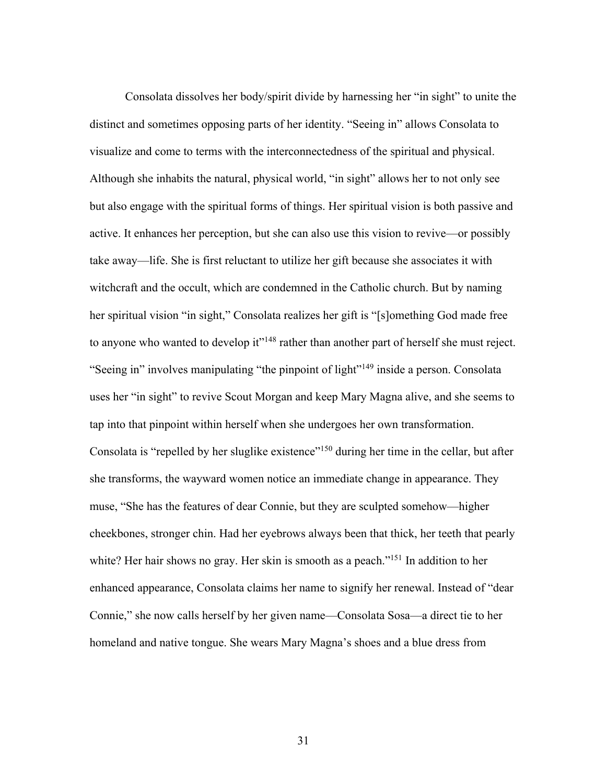Consolata dissolves her body/spirit divide by harnessing her "in sight" to unite the distinct and sometimes opposing parts of her identity. "Seeing in" allows Consolata to visualize and come to terms with the interconnectedness of the spiritual and physical. Although she inhabits the natural, physical world, "in sight" allows her to not only see but also engage with the spiritual forms of things. Her spiritual vision is both passive and active. It enhances her perception, but she can also use this vision to revive—or possibly take away—life. She is first reluctant to utilize her gift because she associates it with witchcraft and the occult, which are condemned in the Catholic church. But by naming her spiritual vision "in sight," Consolata realizes her gift is "[s]omething God made free to anyone who wanted to develop it"<sup>148</sup> rather than another part of herself she must reject. "Seeing in" involves manipulating "the pinpoint of light"<sup>149</sup> inside a person. Consolata uses her "in sight" to revive Scout Morgan and keep Mary Magna alive, and she seems to tap into that pinpoint within herself when she undergoes her own transformation. Consolata is "repelled by her sluglike existence"<sup>150</sup> during her time in the cellar, but after she transforms, the wayward women notice an immediate change in appearance. They muse, "She has the features of dear Connie, but they are sculpted somehow—higher cheekbones, stronger chin. Had her eyebrows always been that thick, her teeth that pearly white? Her hair shows no gray. Her skin is smooth as a peach."<sup>151</sup> In addition to her enhanced appearance, Consolata claims her name to signify her renewal. Instead of "dear Connie," she now calls herself by her given name—Consolata Sosa—a direct tie to her homeland and native tongue. She wears Mary Magna's shoes and a blue dress from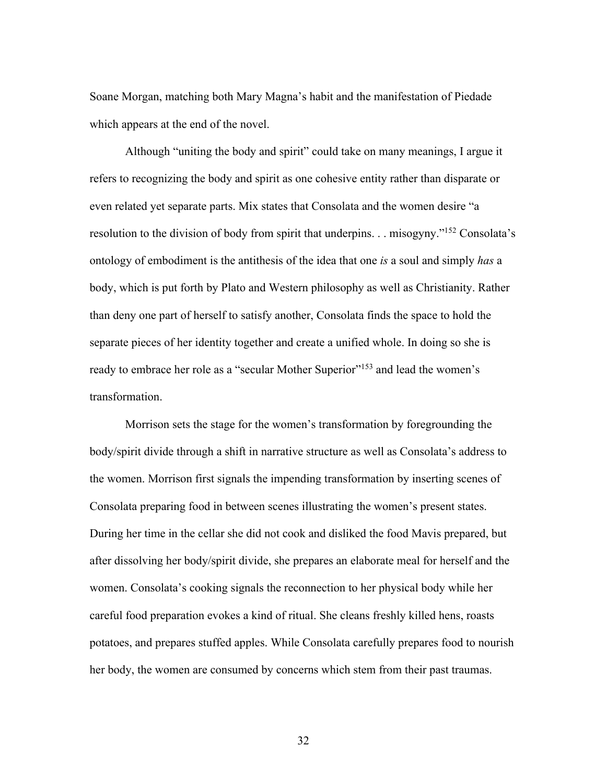Soane Morgan, matching both Mary Magna's habit and the manifestation of Piedade which appears at the end of the novel.

Although "uniting the body and spirit" could take on many meanings, I argue it refers to recognizing the body and spirit as one cohesive entity rather than disparate or even related yet separate parts. Mix states that Consolata and the women desire "a resolution to the division of body from spirit that underpins. . . misogyny."152 Consolata's ontology of embodiment is the antithesis of the idea that one *is* a soul and simply *has* a body, which is put forth by Plato and Western philosophy as well as Christianity. Rather than deny one part of herself to satisfy another, Consolata finds the space to hold the separate pieces of her identity together and create a unified whole. In doing so she is ready to embrace her role as a "secular Mother Superior"<sup>153</sup> and lead the women's transformation.

Morrison sets the stage for the women's transformation by foregrounding the body/spirit divide through a shift in narrative structure as well as Consolata's address to the women. Morrison first signals the impending transformation by inserting scenes of Consolata preparing food in between scenes illustrating the women's present states. During her time in the cellar she did not cook and disliked the food Mavis prepared, but after dissolving her body/spirit divide, she prepares an elaborate meal for herself and the women. Consolata's cooking signals the reconnection to her physical body while her careful food preparation evokes a kind of ritual. She cleans freshly killed hens, roasts potatoes, and prepares stuffed apples. While Consolata carefully prepares food to nourish her body, the women are consumed by concerns which stem from their past traumas.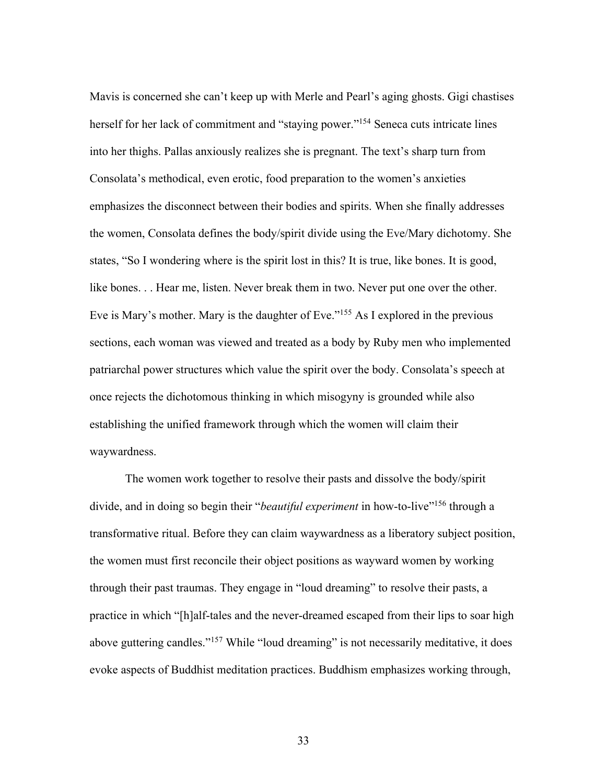Mavis is concerned she can't keep up with Merle and Pearl's aging ghosts. Gigi chastises herself for her lack of commitment and "staying power."<sup>154</sup> Seneca cuts intricate lines into her thighs. Pallas anxiously realizes she is pregnant. The text's sharp turn from Consolata's methodical, even erotic, food preparation to the women's anxieties emphasizes the disconnect between their bodies and spirits. When she finally addresses the women, Consolata defines the body/spirit divide using the Eve/Mary dichotomy. She states, "So I wondering where is the spirit lost in this? It is true, like bones. It is good, like bones. . . Hear me, listen. Never break them in two. Never put one over the other. Eve is Mary's mother. Mary is the daughter of Eve."155 As I explored in the previous sections, each woman was viewed and treated as a body by Ruby men who implemented patriarchal power structures which value the spirit over the body. Consolata's speech at once rejects the dichotomous thinking in which misogyny is grounded while also establishing the unified framework through which the women will claim their waywardness.

The women work together to resolve their pasts and dissolve the body/spirit divide, and in doing so begin their "*beautiful experiment* in how-to-live"<sup>156</sup> through a transformative ritual. Before they can claim waywardness as a liberatory subject position, the women must first reconcile their object positions as wayward women by working through their past traumas. They engage in "loud dreaming" to resolve their pasts, a practice in which "[h]alf-tales and the never-dreamed escaped from their lips to soar high above guttering candles."<sup>157</sup> While "loud dreaming" is not necessarily meditative, it does evoke aspects of Buddhist meditation practices. Buddhism emphasizes working through,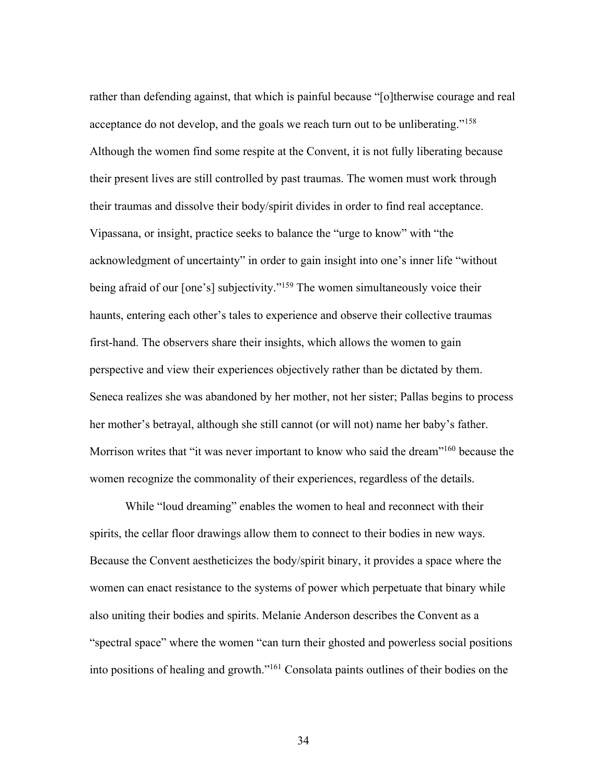rather than defending against, that which is painful because "[o]therwise courage and real acceptance do not develop, and the goals we reach turn out to be unliberating."<sup>158</sup> Although the women find some respite at the Convent, it is not fully liberating because their present lives are still controlled by past traumas. The women must work through their traumas and dissolve their body/spirit divides in order to find real acceptance. Vipassana, or insight, practice seeks to balance the "urge to know" with "the acknowledgment of uncertainty" in order to gain insight into one's inner life "without being afraid of our [one's] subjectivity."<sup>159</sup> The women simultaneously voice their haunts, entering each other's tales to experience and observe their collective traumas first-hand. The observers share their insights, which allows the women to gain perspective and view their experiences objectively rather than be dictated by them. Seneca realizes she was abandoned by her mother, not her sister; Pallas begins to process her mother's betrayal, although she still cannot (or will not) name her baby's father. Morrison writes that "it was never important to know who said the dream"<sup>160</sup> because the women recognize the commonality of their experiences, regardless of the details.

While "loud dreaming" enables the women to heal and reconnect with their spirits, the cellar floor drawings allow them to connect to their bodies in new ways. Because the Convent aestheticizes the body/spirit binary, it provides a space where the women can enact resistance to the systems of power which perpetuate that binary while also uniting their bodies and spirits. Melanie Anderson describes the Convent as a "spectral space" where the women "can turn their ghosted and powerless social positions into positions of healing and growth."161 Consolata paints outlines of their bodies on the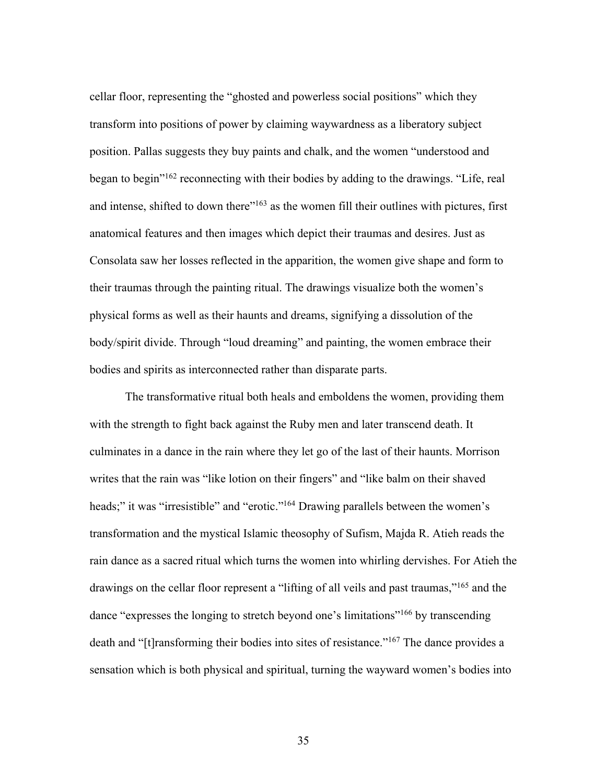cellar floor, representing the "ghosted and powerless social positions" which they transform into positions of power by claiming waywardness as a liberatory subject position. Pallas suggests they buy paints and chalk, and the women "understood and began to begin"162 reconnecting with their bodies by adding to the drawings. "Life, real and intense, shifted to down there"<sup>163</sup> as the women fill their outlines with pictures, first anatomical features and then images which depict their traumas and desires. Just as Consolata saw her losses reflected in the apparition, the women give shape and form to their traumas through the painting ritual. The drawings visualize both the women's physical forms as well as their haunts and dreams, signifying a dissolution of the body/spirit divide. Through "loud dreaming" and painting, the women embrace their bodies and spirits as interconnected rather than disparate parts.

The transformative ritual both heals and emboldens the women, providing them with the strength to fight back against the Ruby men and later transcend death. It culminates in a dance in the rain where they let go of the last of their haunts. Morrison writes that the rain was "like lotion on their fingers" and "like balm on their shaved heads;" it was "irresistible" and "erotic."<sup>164</sup> Drawing parallels between the women's transformation and the mystical Islamic theosophy of Sufism, Majda R. Atieh reads the rain dance as a sacred ritual which turns the women into whirling dervishes. For Atieh the drawings on the cellar floor represent a "lifting of all veils and past traumas,"<sup>165</sup> and the dance "expresses the longing to stretch beyond one's limitations"166 by transcending death and "[t]ransforming their bodies into sites of resistance."167 The dance provides a sensation which is both physical and spiritual, turning the wayward women's bodies into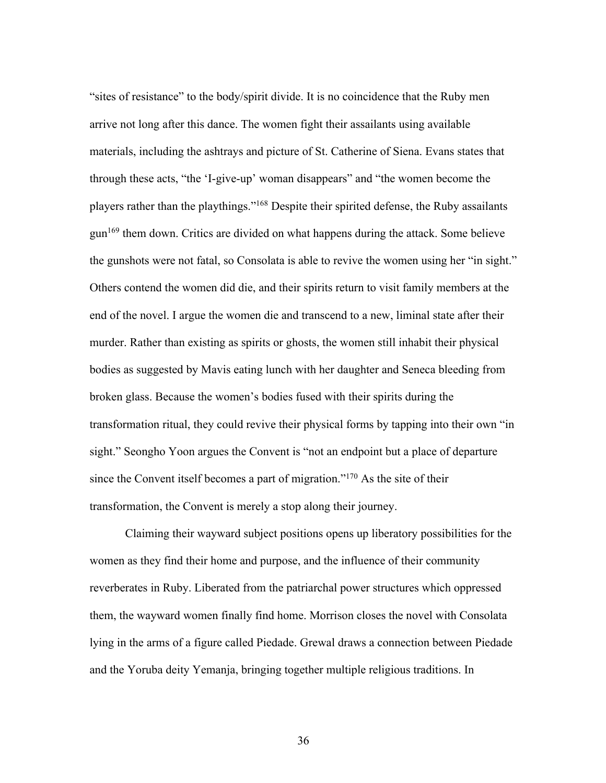"sites of resistance" to the body/spirit divide. It is no coincidence that the Ruby men arrive not long after this dance. The women fight their assailants using available materials, including the ashtrays and picture of St. Catherine of Siena. Evans states that through these acts, "the 'I-give-up' woman disappears" and "the women become the players rather than the playthings."168 Despite their spirited defense, the Ruby assailants gun169 them down. Critics are divided on what happens during the attack. Some believe the gunshots were not fatal, so Consolata is able to revive the women using her "in sight." Others contend the women did die, and their spirits return to visit family members at the end of the novel. I argue the women die and transcend to a new, liminal state after their murder. Rather than existing as spirits or ghosts, the women still inhabit their physical bodies as suggested by Mavis eating lunch with her daughter and Seneca bleeding from broken glass. Because the women's bodies fused with their spirits during the transformation ritual, they could revive their physical forms by tapping into their own "in sight." Seongho Yoon argues the Convent is "not an endpoint but a place of departure since the Convent itself becomes a part of migration."170 As the site of their transformation, the Convent is merely a stop along their journey.

Claiming their wayward subject positions opens up liberatory possibilities for the women as they find their home and purpose, and the influence of their community reverberates in Ruby. Liberated from the patriarchal power structures which oppressed them, the wayward women finally find home. Morrison closes the novel with Consolata lying in the arms of a figure called Piedade. Grewal draws a connection between Piedade and the Yoruba deity Yemanja, bringing together multiple religious traditions. In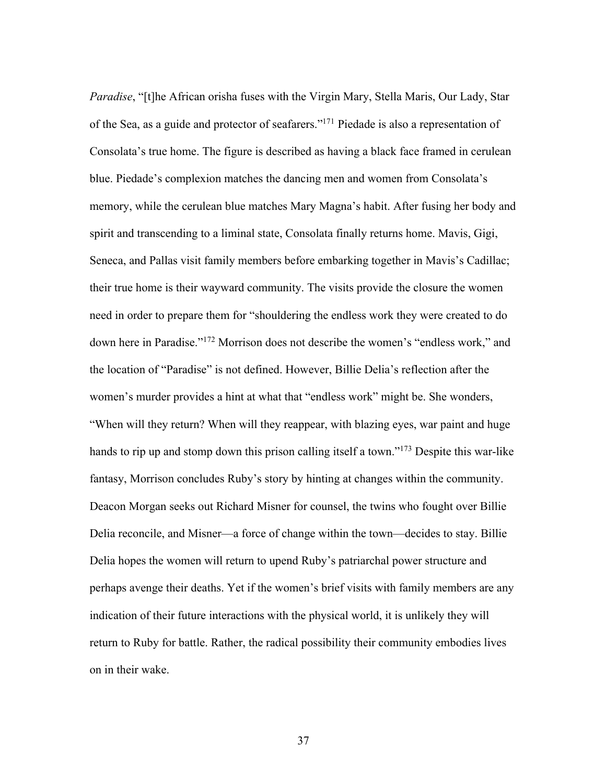*Paradise*, "[t]he African orisha fuses with the Virgin Mary, Stella Maris, Our Lady, Star of the Sea, as a guide and protector of seafarers."171 Piedade is also a representation of Consolata's true home. The figure is described as having a black face framed in cerulean blue. Piedade's complexion matches the dancing men and women from Consolata's memory, while the cerulean blue matches Mary Magna's habit. After fusing her body and spirit and transcending to a liminal state, Consolata finally returns home. Mavis, Gigi, Seneca, and Pallas visit family members before embarking together in Mavis's Cadillac; their true home is their wayward community. The visits provide the closure the women need in order to prepare them for "shouldering the endless work they were created to do down here in Paradise."172 Morrison does not describe the women's "endless work," and the location of "Paradise" is not defined. However, Billie Delia's reflection after the women's murder provides a hint at what that "endless work" might be. She wonders, "When will they return? When will they reappear, with blazing eyes, war paint and huge hands to rip up and stomp down this prison calling itself a town."<sup>173</sup> Despite this war-like fantasy, Morrison concludes Ruby's story by hinting at changes within the community. Deacon Morgan seeks out Richard Misner for counsel, the twins who fought over Billie Delia reconcile, and Misner—a force of change within the town—decides to stay. Billie Delia hopes the women will return to upend Ruby's patriarchal power structure and perhaps avenge their deaths. Yet if the women's brief visits with family members are any indication of their future interactions with the physical world, it is unlikely they will return to Ruby for battle. Rather, the radical possibility their community embodies lives on in their wake.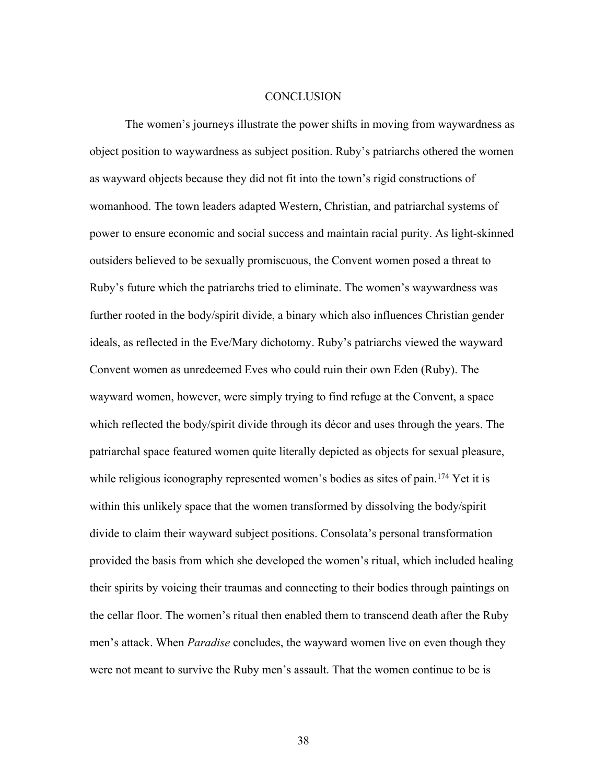#### **CONCLUSION**

The women's journeys illustrate the power shifts in moving from waywardness as object position to waywardness as subject position. Ruby's patriarchs othered the women as wayward objects because they did not fit into the town's rigid constructions of womanhood. The town leaders adapted Western, Christian, and patriarchal systems of power to ensure economic and social success and maintain racial purity. As light-skinned outsiders believed to be sexually promiscuous, the Convent women posed a threat to Ruby's future which the patriarchs tried to eliminate. The women's waywardness was further rooted in the body/spirit divide, a binary which also influences Christian gender ideals, as reflected in the Eve/Mary dichotomy. Ruby's patriarchs viewed the wayward Convent women as unredeemed Eves who could ruin their own Eden (Ruby). The wayward women, however, were simply trying to find refuge at the Convent, a space which reflected the body/spirit divide through its décor and uses through the years. The patriarchal space featured women quite literally depicted as objects for sexual pleasure, while religious iconography represented women's bodies as sites of pain.<sup>174</sup> Yet it is within this unlikely space that the women transformed by dissolving the body/spirit divide to claim their wayward subject positions. Consolata's personal transformation provided the basis from which she developed the women's ritual, which included healing their spirits by voicing their traumas and connecting to their bodies through paintings on the cellar floor. The women's ritual then enabled them to transcend death after the Ruby men's attack. When *Paradise* concludes, the wayward women live on even though they were not meant to survive the Ruby men's assault. That the women continue to be is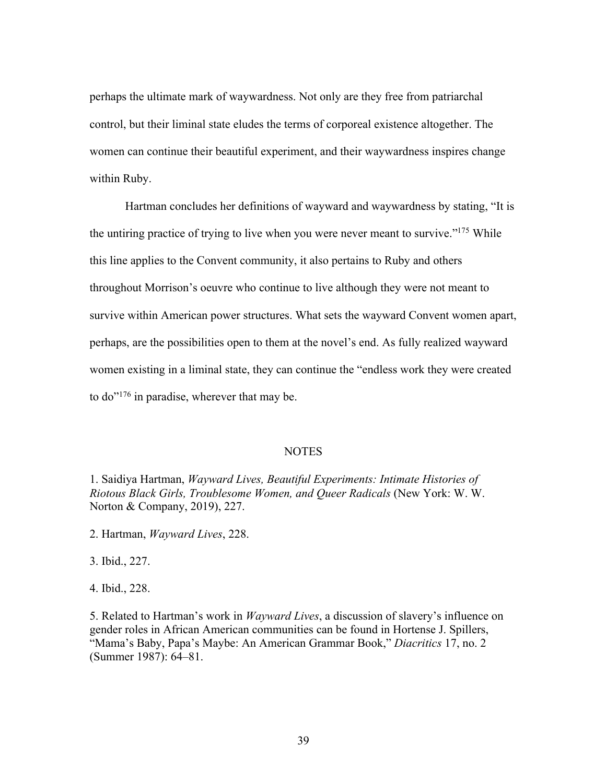perhaps the ultimate mark of waywardness. Not only are they free from patriarchal control, but their liminal state eludes the terms of corporeal existence altogether. The women can continue their beautiful experiment, and their waywardness inspires change within Ruby.

Hartman concludes her definitions of wayward and waywardness by stating, "It is the untiring practice of trying to live when you were never meant to survive."<sup>175</sup> While this line applies to the Convent community, it also pertains to Ruby and others throughout Morrison's oeuvre who continue to live although they were not meant to survive within American power structures. What sets the wayward Convent women apart, perhaps, are the possibilities open to them at the novel's end. As fully realized wayward women existing in a liminal state, they can continue the "endless work they were created to do"176 in paradise, wherever that may be.

#### **NOTES**

1. Saidiya Hartman, *Wayward Lives, Beautiful Experiments: Intimate Histories of Riotous Black Girls, Troublesome Women, and Queer Radicals* (New York: W. W. Norton & Company, 2019), 227.

2. Hartman, *Wayward Lives*, 228.

3. Ibid., 227.

4. Ibid., 228.

5. Related to Hartman's work in *Wayward Lives*, a discussion of slavery's influence on gender roles in African American communities can be found in Hortense J. Spillers, "Mama's Baby, Papa's Maybe: An American Grammar Book," *Diacritics* 17, no. 2 (Summer 1987): 64–81.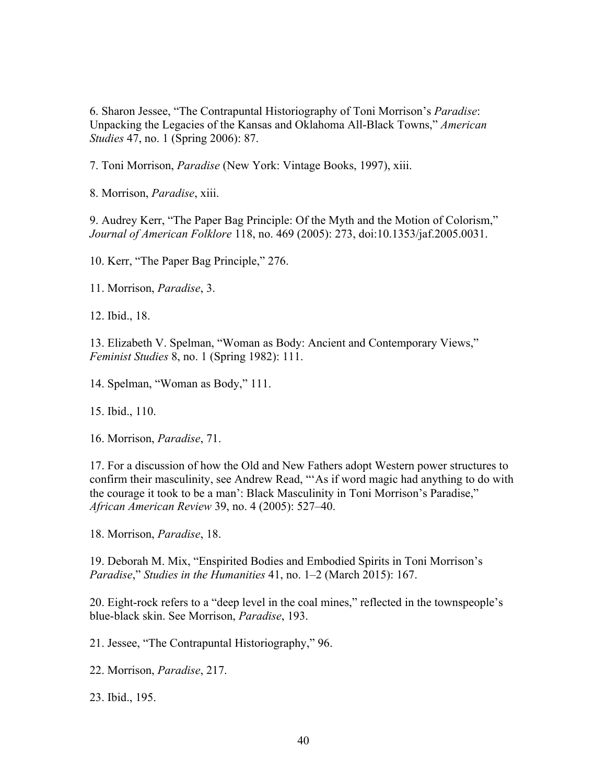6. Sharon Jessee, "The Contrapuntal Historiography of Toni Morrison's *Paradise*: Unpacking the Legacies of the Kansas and Oklahoma All-Black Towns," *American Studies* 47, no. 1 (Spring 2006): 87.

7. Toni Morrison, *Paradise* (New York: Vintage Books, 1997), xiii.

8. Morrison, *Paradise*, xiii.

9. Audrey Kerr, "The Paper Bag Principle: Of the Myth and the Motion of Colorism," *Journal of American Folklore* 118, no. 469 (2005): 273, doi:10.1353/jaf.2005.0031.

10. Kerr, "The Paper Bag Principle," 276.

11. Morrison, *Paradise*, 3.

12. Ibid., 18.

13. Elizabeth V. Spelman, "Woman as Body: Ancient and Contemporary Views," *Feminist Studies* 8, no. 1 (Spring 1982): 111.

14. Spelman, "Woman as Body," 111.

15. Ibid., 110.

16. Morrison, *Paradise*, 71.

17. For a discussion of how the Old and New Fathers adopt Western power structures to confirm their masculinity, see Andrew Read, "'As if word magic had anything to do with the courage it took to be a man': Black Masculinity in Toni Morrison's Paradise," *African American Review* 39, no. 4 (2005): 527–40.

18. Morrison, *Paradise*, 18.

19. Deborah M. Mix, "Enspirited Bodies and Embodied Spirits in Toni Morrison's *Paradise*," *Studies in the Humanities* 41, no. 1–2 (March 2015): 167.

20. Eight-rock refers to a "deep level in the coal mines," reflected in the townspeople's blue-black skin. See Morrison, *Paradise*, 193.

21. Jessee, "The Contrapuntal Historiography," 96.

22. Morrison, *Paradise*, 217.

23. Ibid., 195.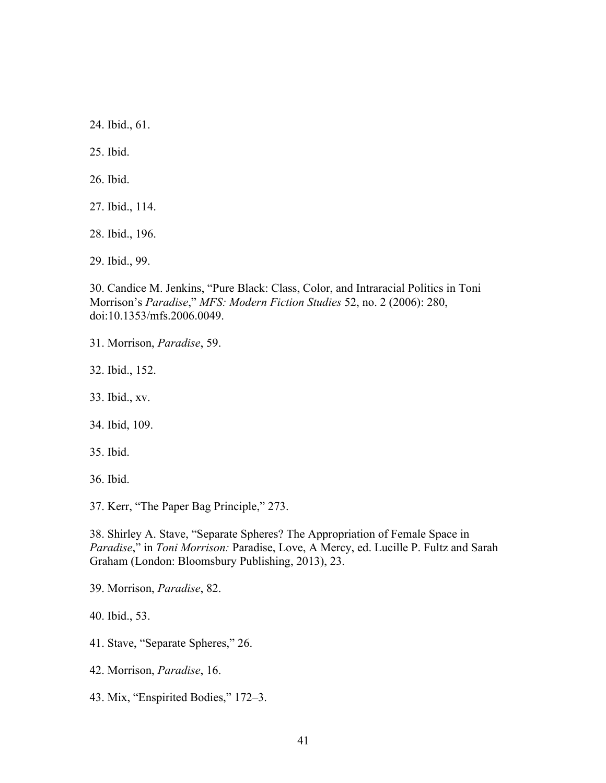24. Ibid., 61.

25. Ibid.

26. Ibid.

27. Ibid., 114.

28. Ibid., 196.

29. Ibid., 99.

30. Candice M. Jenkins, "Pure Black: Class, Color, and Intraracial Politics in Toni Morrison's *Paradise*," *MFS: Modern Fiction Studies* 52, no. 2 (2006): 280, doi:10.1353/mfs.2006.0049.

31. Morrison, *Paradise*, 59.

32. Ibid., 152.

33. Ibid., xv.

34. Ibid, 109.

35. Ibid.

36. Ibid.

37. Kerr, "The Paper Bag Principle," 273.

38. Shirley A. Stave, "Separate Spheres? The Appropriation of Female Space in *Paradise*," in *Toni Morrison:* Paradise, Love, A Mercy, ed. Lucille P. Fultz and Sarah Graham (London: Bloomsbury Publishing, 2013), 23.

39. Morrison, *Paradise*, 82.

40. Ibid., 53.

41. Stave, "Separate Spheres," 26.

42. Morrison, *Paradise*, 16.

43. Mix, "Enspirited Bodies," 172–3.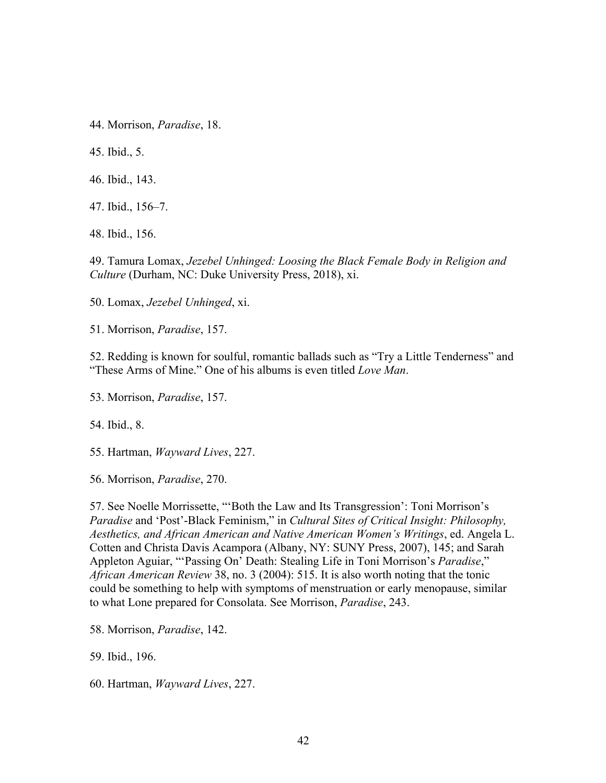44. Morrison, *Paradise*, 18.

45. Ibid., 5.

46. Ibid., 143.

47. Ibid., 156–7.

48. Ibid., 156.

49. Tamura Lomax, *Jezebel Unhinged: Loosing the Black Female Body in Religion and Culture* (Durham, NC: Duke University Press, 2018), xi.

50. Lomax, *Jezebel Unhinged*, xi.

51. Morrison, *Paradise*, 157.

52. Redding is known for soulful, romantic ballads such as "Try a Little Tenderness" and "These Arms of Mine." One of his albums is even titled *Love Man*.

53. Morrison, *Paradise*, 157.

54. Ibid., 8.

55. Hartman, *Wayward Lives*, 227.

56. Morrison, *Paradise*, 270.

57. See Noelle Morrissette, "'Both the Law and Its Transgression': Toni Morrison's *Paradise* and 'Post'-Black Feminism," in *Cultural Sites of Critical Insight: Philosophy, Aesthetics, and African American and Native American Women's Writings*, ed. Angela L. Cotten and Christa Davis Acampora (Albany, NY: SUNY Press, 2007), 145; and Sarah Appleton Aguiar, "'Passing On' Death: Stealing Life in Toni Morrison's *Paradise*," *African American Review* 38, no. 3 (2004): 515. It is also worth noting that the tonic could be something to help with symptoms of menstruation or early menopause, similar to what Lone prepared for Consolata. See Morrison, *Paradise*, 243.

58. Morrison, *Paradise*, 142.

59. Ibid., 196.

60. Hartman, *Wayward Lives*, 227.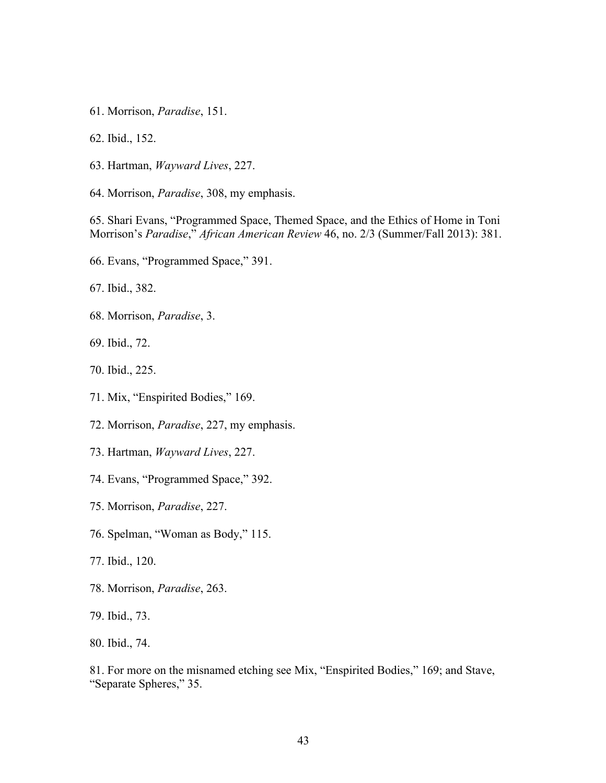- 61. Morrison, *Paradise*, 151.
- 62. Ibid., 152.
- 63. Hartman, *Wayward Lives*, 227.
- 64. Morrison, *Paradise*, 308, my emphasis.

65. Shari Evans, "Programmed Space, Themed Space, and the Ethics of Home in Toni Morrison's *Paradise*," *African American Review* 46, no. 2/3 (Summer/Fall 2013): 381.

- 66. Evans, "Programmed Space," 391.
- 67. Ibid., 382.
- 68. Morrison, *Paradise*, 3.
- 69. Ibid., 72.
- 70. Ibid., 225.
- 71. Mix, "Enspirited Bodies," 169.
- 72. Morrison, *Paradise*, 227, my emphasis.
- 73. Hartman, *Wayward Lives*, 227.
- 74. Evans, "Programmed Space," 392.
- 75. Morrison, *Paradise*, 227.
- 76. Spelman, "Woman as Body," 115.
- 77. Ibid., 120.
- 78. Morrison, *Paradise*, 263.
- 79. Ibid., 73.
- 80. Ibid., 74.

81. For more on the misnamed etching see Mix, "Enspirited Bodies," 169; and Stave, "Separate Spheres," 35.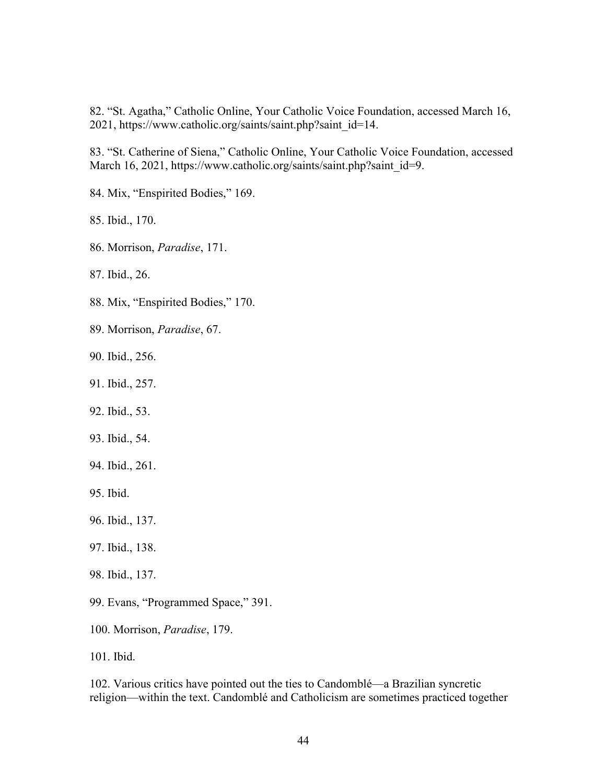82. "St. Agatha," Catholic Online, Your Catholic Voice Foundation, accessed March 16, 2021, https://www.catholic.org/saints/saint.php?saint\_id=14.

83. "St. Catherine of Siena," Catholic Online, Your Catholic Voice Foundation, accessed March 16, 2021, https://www.catholic.org/saints/saint.php?saint\_id=9.

84. Mix, "Enspirited Bodies," 169.

85. Ibid., 170.

86. Morrison, *Paradise*, 171.

87. Ibid., 26.

88. Mix, "Enspirited Bodies," 170.

- 89. Morrison, *Paradise*, 67.
- 90. Ibid., 256.
- 91. Ibid., 257.
- 92. Ibid., 53.
- 93. Ibid., 54.
- 94. Ibid., 261.
- 95. Ibid.
- 96. Ibid., 137.
- 97. Ibid., 138.
- 98. Ibid., 137.
- 99. Evans, "Programmed Space," 391.
- 100. Morrison, *Paradise*, 179.

101. Ibid.

102. Various critics have pointed out the ties to Candomblé—a Brazilian syncretic religion—within the text. Candomblé and Catholicism are sometimes practiced together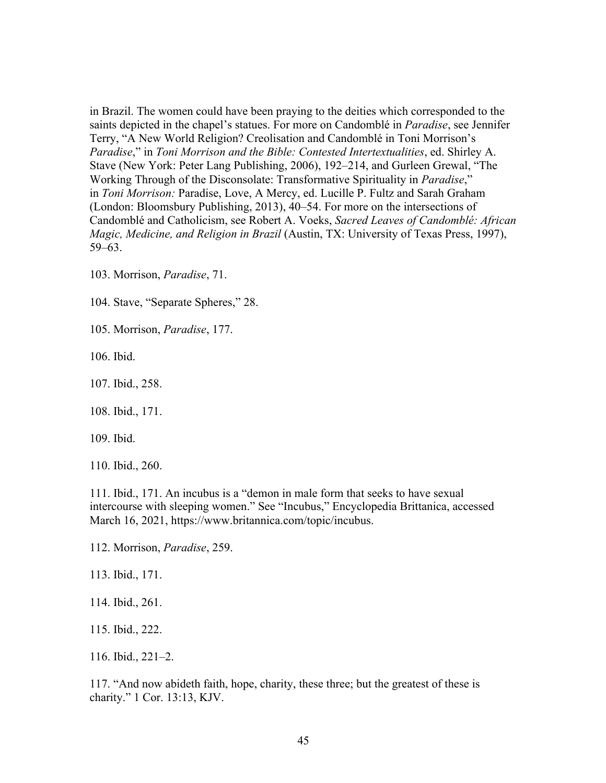in Brazil. The women could have been praying to the deities which corresponded to the saints depicted in the chapel's statues. For more on Candomblé in *Paradise*, see Jennifer Terry, "A New World Religion? Creolisation and Candomblé in Toni Morrison's *Paradise*," in *Toni Morrison and the Bible: Contested Intertextualities*, ed. Shirley A. Stave (New York: Peter Lang Publishing, 2006), 192–214, and Gurleen Grewal, "The Working Through of the Disconsolate: Transformative Spirituality in *Paradise*," in *Toni Morrison:* Paradise, Love, A Mercy, ed. Lucille P. Fultz and Sarah Graham (London: Bloomsbury Publishing, 2013), 40–54. For more on the intersections of Candomblé and Catholicism, see Robert A. Voeks, *Sacred Leaves of Candomblé: African Magic, Medicine, and Religion in Brazil* (Austin, TX: University of Texas Press, 1997), 59–63.

103. Morrison, *Paradise*, 71.

104. Stave, "Separate Spheres," 28.

105. Morrison, *Paradise*, 177.

106. Ibid.

107. Ibid., 258.

108. Ibid., 171.

109. Ibid.

110. Ibid., 260.

111. Ibid., 171. An incubus is a "demon in male form that seeks to have sexual intercourse with sleeping women." See "Incubus," Encyclopedia Brittanica, accessed March 16, 2021, https://www.britannica.com/topic/incubus.

112. Morrison, *Paradise*, 259.

113. Ibid., 171.

114. Ibid., 261.

115. Ibid., 222.

116. Ibid., 221–2.

117. "And now abideth faith, hope, charity, these three; but the greatest of these is charity." 1 Cor. 13:13, KJV.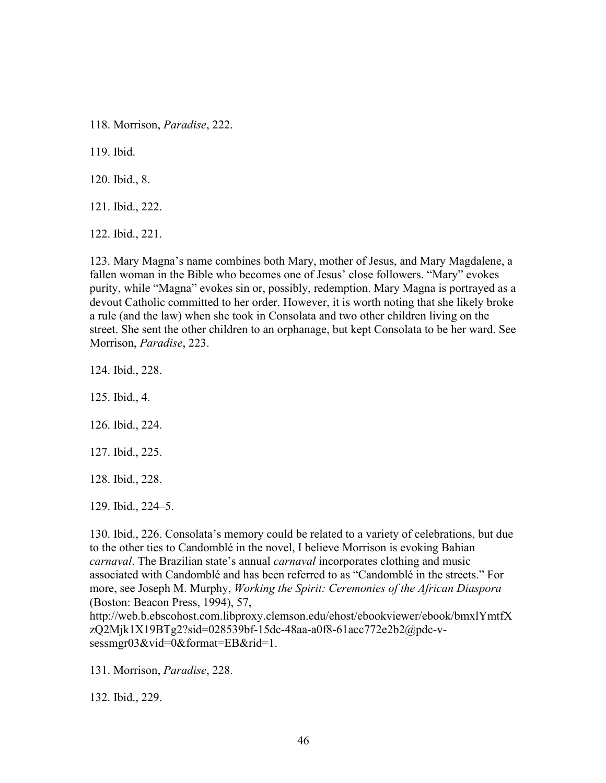118. Morrison, *Paradise*, 222.

119. Ibid.

120. Ibid., 8.

121. Ibid., 222.

122. Ibid., 221.

123. Mary Magna's name combines both Mary, mother of Jesus, and Mary Magdalene, a fallen woman in the Bible who becomes one of Jesus' close followers. "Mary" evokes purity, while "Magna" evokes sin or, possibly, redemption. Mary Magna is portrayed as a devout Catholic committed to her order. However, it is worth noting that she likely broke a rule (and the law) when she took in Consolata and two other children living on the street. She sent the other children to an orphanage, but kept Consolata to be her ward. See Morrison, *Paradise*, 223.

124. Ibid., 228.

125. Ibid., 4.

126. Ibid., 224.

127. Ibid., 225.

128. Ibid., 228.

129. Ibid., 224–5.

130. Ibid., 226. Consolata's memory could be related to a variety of celebrations, but due to the other ties to Candomblé in the novel, I believe Morrison is evoking Bahian *carnaval*. The Brazilian state's annual *carnaval* incorporates clothing and music associated with Candomblé and has been referred to as "Candomblé in the streets." For more, see Joseph M. Murphy, *Working the Spirit: Ceremonies of the African Diaspora* (Boston: Beacon Press, 1994), 57,

http://web.b.ebscohost.com.libproxy.clemson.edu/ehost/ebookviewer/ebook/bmxlYmtfX zQ2Mjk1X19BTg2?sid=028539bf-15dc-48aa-a0f8-61acc772e2b2@pdc-vsessmgr03&vid=0&format=EB&rid=1.

131. Morrison, *Paradise*, 228.

132. Ibid., 229.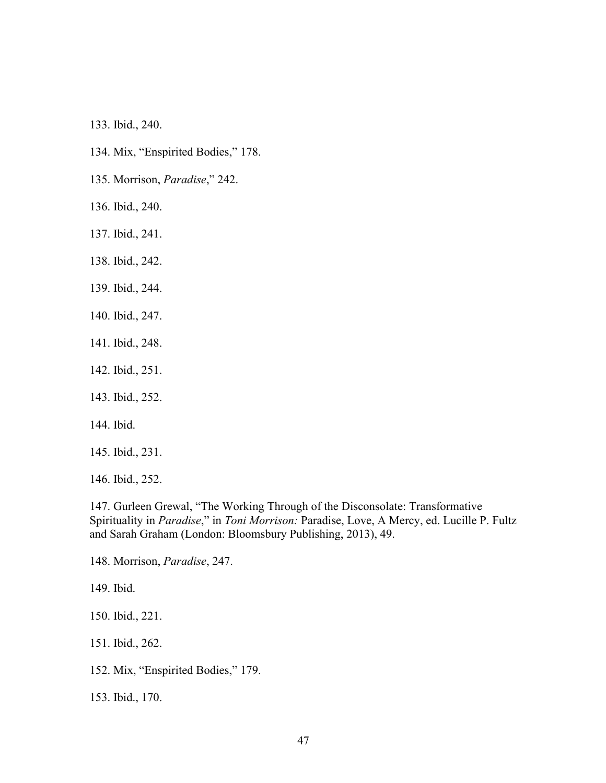133. Ibid., 240.

- 134. Mix, "Enspirited Bodies," 178.
- 135. Morrison, *Paradise*," 242.
- 136. Ibid., 240.
- 137. Ibid., 241.
- 138. Ibid., 242.
- 139. Ibid., 244.
- 140. Ibid., 247.
- 141. Ibid., 248.
- 142. Ibid., 251.
- 143. Ibid., 252.
- 144. Ibid.
- 145. Ibid., 231.
- 146. Ibid., 252.

147. Gurleen Grewal, "The Working Through of the Disconsolate: Transformative Spirituality in *Paradise*," in *Toni Morrison:* Paradise, Love, A Mercy, ed. Lucille P. Fultz and Sarah Graham (London: Bloomsbury Publishing, 2013), 49.

148. Morrison, *Paradise*, 247.

149. Ibid.

150. Ibid., 221.

151. Ibid., 262.

152. Mix, "Enspirited Bodies," 179.

153. Ibid., 170.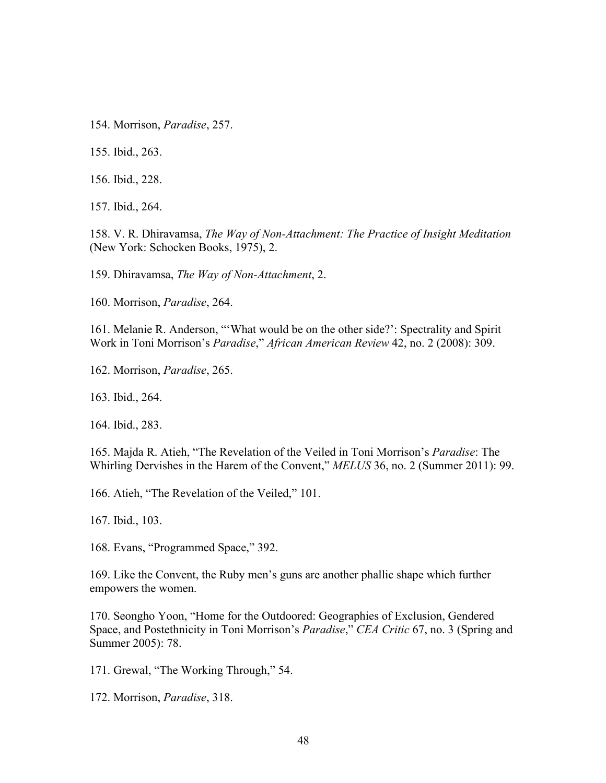154. Morrison, *Paradise*, 257.

155. Ibid., 263.

156. Ibid., 228.

157. Ibid., 264.

158. V. R. Dhiravamsa, *The Way of Non-Attachment: The Practice of Insight Meditation* (New York: Schocken Books, 1975), 2.

159. Dhiravamsa, *The Way of Non-Attachment*, 2.

160. Morrison, *Paradise*, 264.

161. Melanie R. Anderson, "'What would be on the other side?': Spectrality and Spirit Work in Toni Morrison's *Paradise*," *African American Review* 42, no. 2 (2008): 309.

162. Morrison, *Paradise*, 265.

163. Ibid., 264.

164. Ibid., 283.

165. Majda R. Atieh, "The Revelation of the Veiled in Toni Morrison's *Paradise*: The Whirling Dervishes in the Harem of the Convent," *MELUS* 36, no. 2 (Summer 2011): 99.

166. Atieh, "The Revelation of the Veiled," 101.

167. Ibid., 103.

168. Evans, "Programmed Space," 392.

169. Like the Convent, the Ruby men's guns are another phallic shape which further empowers the women.

170. Seongho Yoon, "Home for the Outdoored: Geographies of Exclusion, Gendered Space, and Postethnicity in Toni Morrison's *Paradise*," *CEA Critic* 67, no. 3 (Spring and Summer 2005): 78.

171. Grewal, "The Working Through," 54.

172. Morrison, *Paradise*, 318.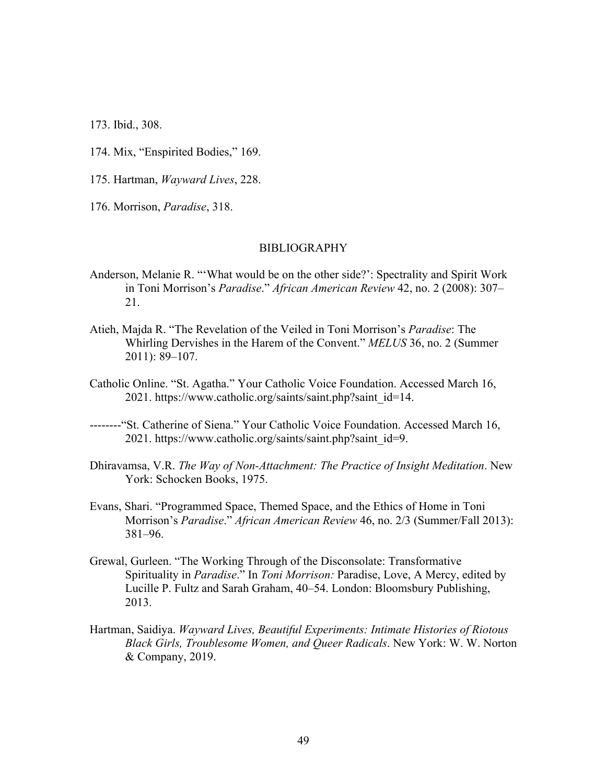173. Ibid., 308.

- 174. Mix, "Enspirited Bodies," 169.
- 175. Hartman, *Wayward Lives*, 228.
- 176. Morrison, *Paradise*, 318.

#### BIBLIOGRAPHY

- Anderson, Melanie R. "'What would be on the other side?': Spectrality and Spirit Work in Toni Morrison's *Paradise*." *African American Review* 42, no. 2 (2008): 307– 21.
- Atieh, Majda R. "The Revelation of the Veiled in Toni Morrison's *Paradise*: The Whirling Dervishes in the Harem of the Convent." *MELUS* 36, no. 2 (Summer 2011): 89–107.
- Catholic Online. "St. Agatha." Your Catholic Voice Foundation. Accessed March 16, 2021. https://www.catholic.org/saints/saint.php?saint\_id=14.
- --------"St. Catherine of Siena." Your Catholic Voice Foundation. Accessed March 16, 2021. https://www.catholic.org/saints/saint.php?saint\_id=9.
- Dhiravamsa, V.R. *The Way of Non-Attachment: The Practice of Insight Meditation*. New York: Schocken Books, 1975.
- Evans, Shari. "Programmed Space, Themed Space, and the Ethics of Home in Toni Morrison's *Paradise*." *African American Review* 46, no. 2/3 (Summer/Fall 2013): 381–96.
- Grewal, Gurleen. "The Working Through of the Disconsolate: Transformative Spirituality in *Paradise*." In *Toni Morrison:* Paradise, Love, A Mercy, edited by Lucille P. Fultz and Sarah Graham, 40–54. London: Bloomsbury Publishing, 2013.
- Hartman, Saidiya. *Wayward Lives, Beautiful Experiments: Intimate Histories of Riotous Black Girls, Troublesome Women, and Queer Radicals*. New York: W. W. Norton & Company, 2019.